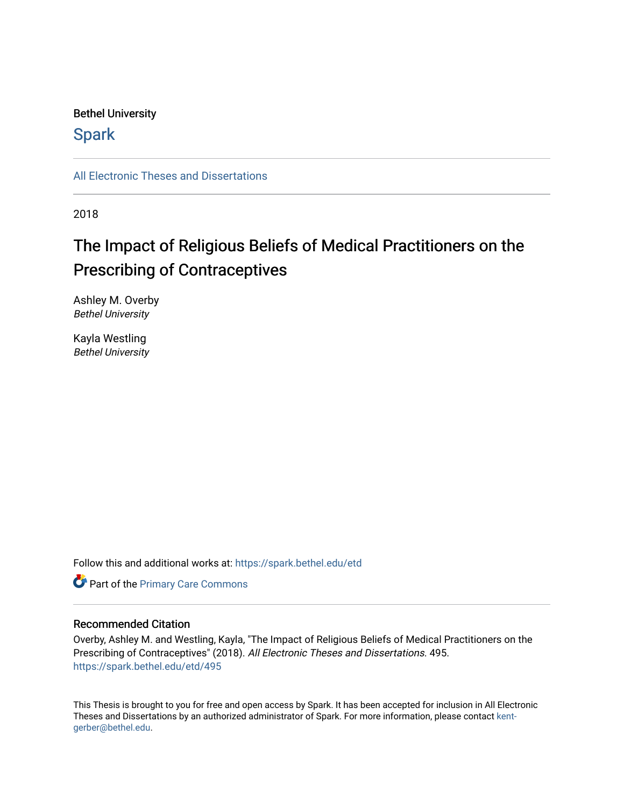## Bethel University

# **Spark**

[All Electronic Theses and Dissertations](https://spark.bethel.edu/etd) 

2018

# The Impact of Religious Beliefs of Medical Practitioners on the Prescribing of Contraceptives

Ashley M. Overby Bethel University

Kayla Westling Bethel University

Follow this and additional works at: [https://spark.bethel.edu/etd](https://spark.bethel.edu/etd?utm_source=spark.bethel.edu%2Fetd%2F495&utm_medium=PDF&utm_campaign=PDFCoverPages)

**Part of the [Primary Care Commons](http://network.bepress.com/hgg/discipline/1092?utm_source=spark.bethel.edu%2Fetd%2F495&utm_medium=PDF&utm_campaign=PDFCoverPages)** 

## Recommended Citation

Overby, Ashley M. and Westling, Kayla, "The Impact of Religious Beliefs of Medical Practitioners on the Prescribing of Contraceptives" (2018). All Electronic Theses and Dissertations. 495. [https://spark.bethel.edu/etd/495](https://spark.bethel.edu/etd/495?utm_source=spark.bethel.edu%2Fetd%2F495&utm_medium=PDF&utm_campaign=PDFCoverPages)

This Thesis is brought to you for free and open access by Spark. It has been accepted for inclusion in All Electronic Theses and Dissertations by an authorized administrator of Spark. For more information, please contact [kent](mailto:kent-gerber@bethel.edu)[gerber@bethel.edu.](mailto:kent-gerber@bethel.edu)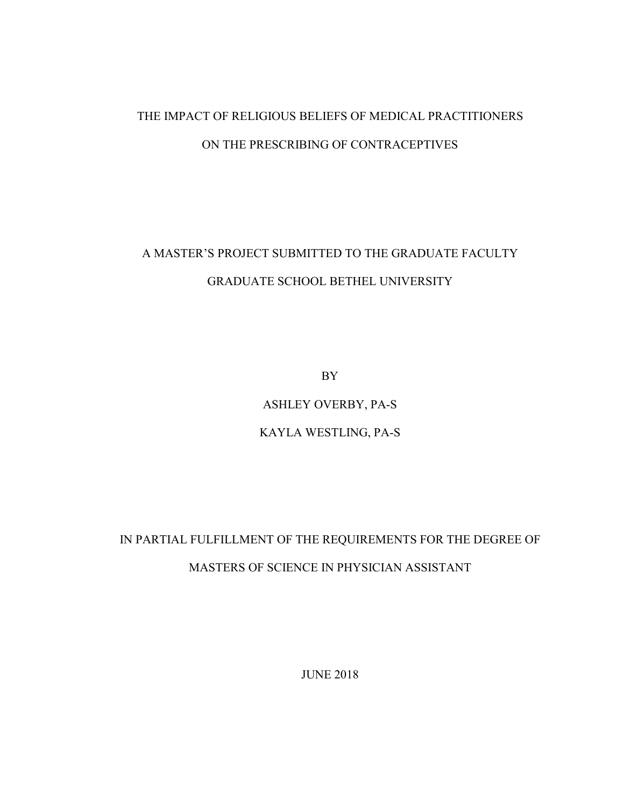# THE IMPACT OF RELIGIOUS BELIEFS OF MEDICAL PRACTITIONERS ON THE PRESCRIBING OF CONTRACEPTIVES

# A MASTER'S PROJECT SUBMITTED TO THE GRADUATE FACULTY GRADUATE SCHOOL BETHEL UNIVERSITY

BY

ASHLEY OVERBY, PA-S

# KAYLA WESTLING, PA-S

# IN PARTIAL FULFILLMENT OF THE REQUIREMENTS FOR THE DEGREE OF MASTERS OF SCIENCE IN PHYSICIAN ASSISTANT

JUNE 2018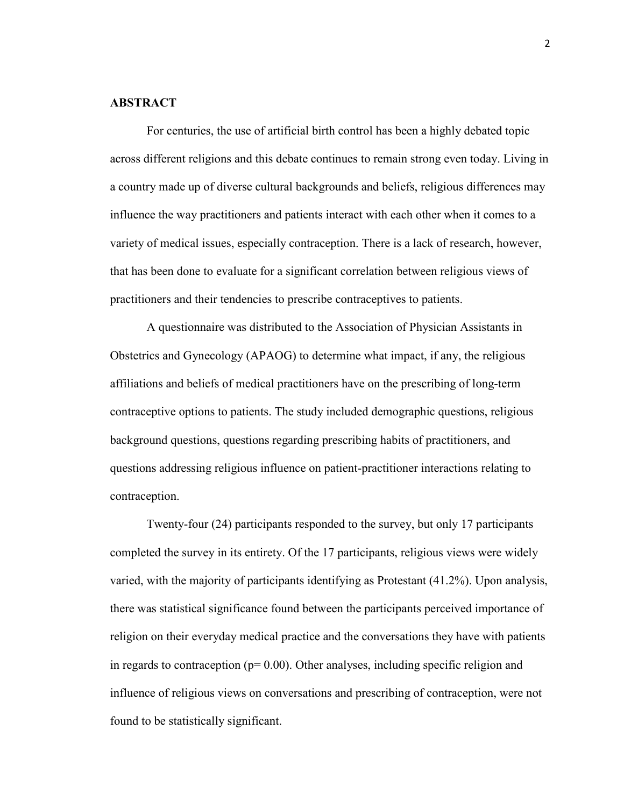#### **ABSTRACT**

For centuries, the use of artificial birth control has been a highly debated topic across different religions and this debate continues to remain strong even today. Living in a country made up of diverse cultural backgrounds and beliefs, religious differences may influence the way practitioners and patients interact with each other when it comes to a variety of medical issues, especially contraception. There is a lack of research, however, that has been done to evaluate for a significant correlation between religious views of practitioners and their tendencies to prescribe contraceptives to patients.

A questionnaire was distributed to the Association of Physician Assistants in Obstetrics and Gynecology (APAOG) to determine what impact, if any, the religious affiliations and beliefs of medical practitioners have on the prescribing of long-term contraceptive options to patients. The study included demographic questions, religious background questions, questions regarding prescribing habits of practitioners, and questions addressing religious influence on patient-practitioner interactions relating to contraception.

Twenty-four (24) participants responded to the survey, but only 17 participants completed the survey in its entirety. Of the 17 participants, religious views were widely varied, with the majority of participants identifying as Protestant (41.2%). Upon analysis, there was statistical significance found between the participants perceived importance of religion on their everyday medical practice and the conversations they have with patients in regards to contraception  $(p= 0.00)$ . Other analyses, including specific religion and influence of religious views on conversations and prescribing of contraception, were not found to be statistically significant.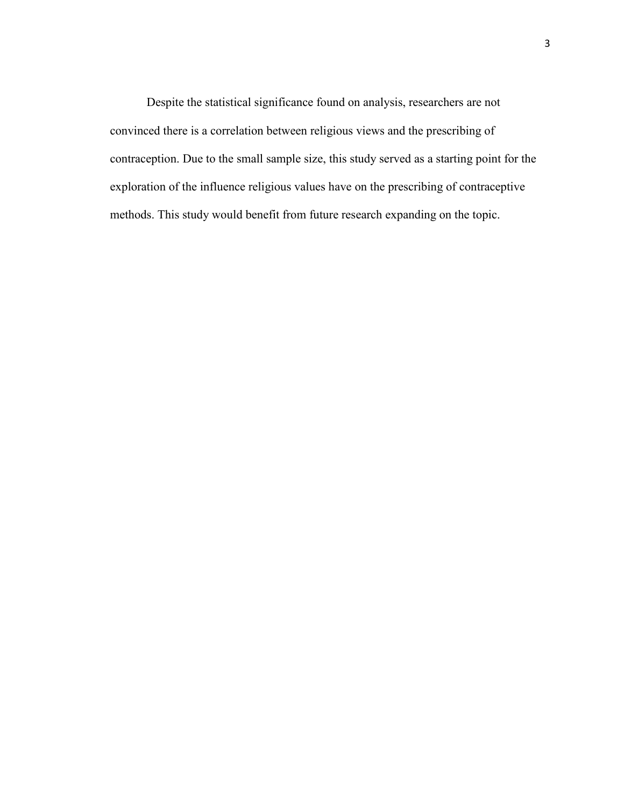Despite the statistical significance found on analysis, researchers are not convinced there is a correlation between religious views and the prescribing of contraception. Due to the small sample size, this study served as a starting point for the exploration of the influence religious values have on the prescribing of contraceptive methods. This study would benefit from future research expanding on the topic.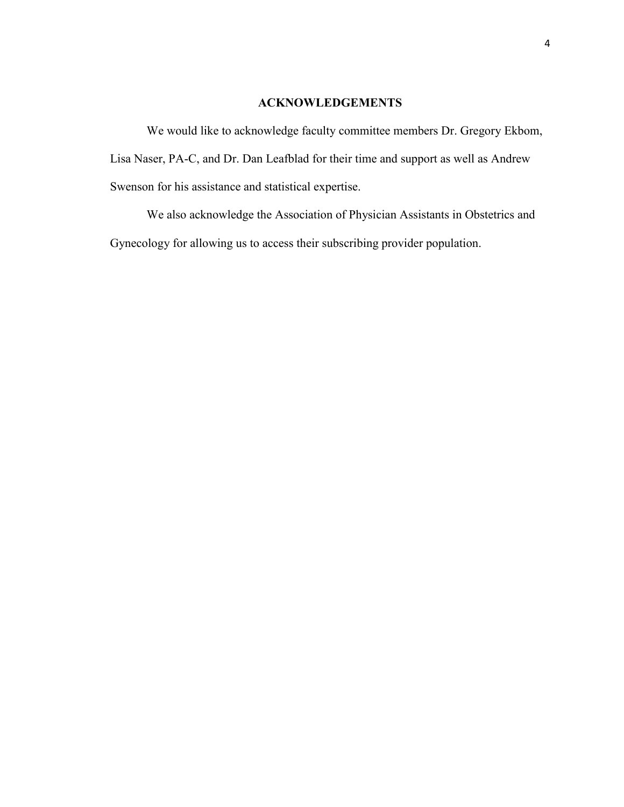## **ACKNOWLEDGEMENTS**

We would like to acknowledge faculty committee members Dr. Gregory Ekbom, Lisa Naser, PA-C, and Dr. Dan Leafblad for their time and support as well as Andrew Swenson for his assistance and statistical expertise.

We also acknowledge the Association of Physician Assistants in Obstetrics and Gynecology for allowing us to access their subscribing provider population.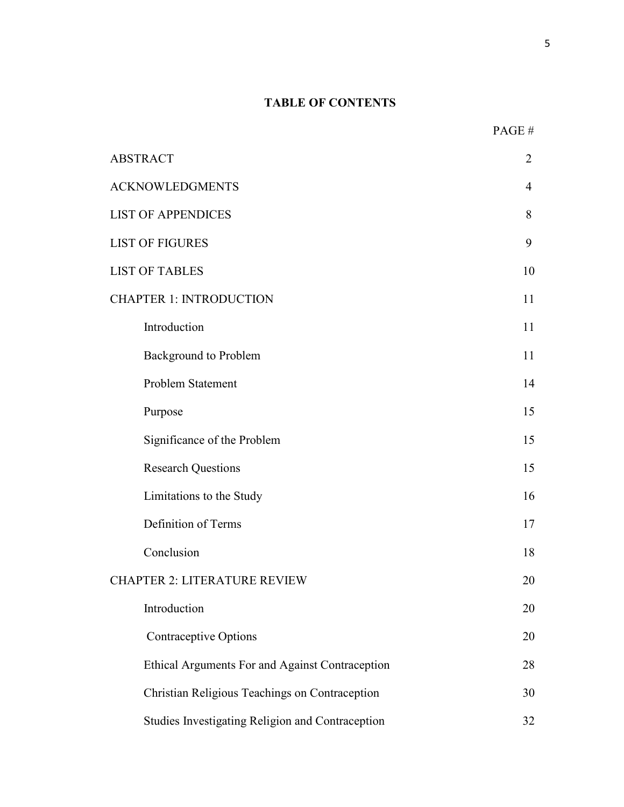# **TABLE OF CONTENTS**

| <b>ABSTRACT</b>                                  | $\overline{2}$ |
|--------------------------------------------------|----------------|
| <b>ACKNOWLEDGMENTS</b>                           | $\overline{4}$ |
| <b>LIST OF APPENDICES</b>                        |                |
| <b>LIST OF FIGURES</b>                           | 9              |
| <b>LIST OF TABLES</b>                            |                |
| <b>CHAPTER 1: INTRODUCTION</b>                   |                |
| Introduction                                     | 11             |
| <b>Background to Problem</b>                     | 11             |
| Problem Statement                                | 14             |
| Purpose                                          | 15             |
| Significance of the Problem                      | 15             |
| <b>Research Questions</b>                        | 15             |
| Limitations to the Study                         | 16             |
| Definition of Terms                              | 17             |
| Conclusion                                       | 18             |
| <b>CHAPTER 2: LITERATURE REVIEW</b>              | 20             |
| Introduction                                     | 20             |
| <b>Contraceptive Options</b>                     | 20             |
| Ethical Arguments For and Against Contraception  | 28             |
| Christian Religious Teachings on Contraception   | 30             |
| Studies Investigating Religion and Contraception | 32             |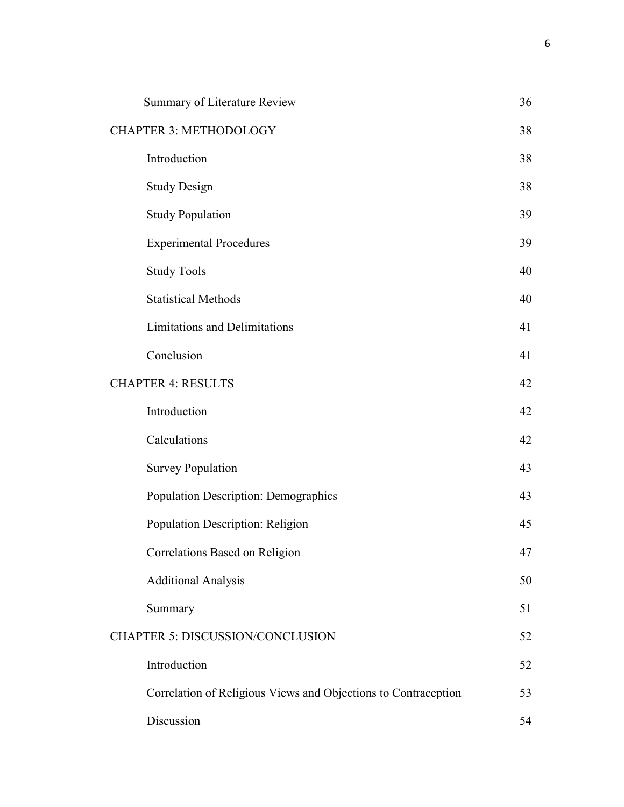| Summary of Literature Review                                   | 36 |
|----------------------------------------------------------------|----|
| <b>CHAPTER 3: METHODOLOGY</b>                                  |    |
| Introduction                                                   | 38 |
| <b>Study Design</b>                                            | 38 |
| <b>Study Population</b>                                        | 39 |
| <b>Experimental Procedures</b>                                 | 39 |
| <b>Study Tools</b>                                             | 40 |
| <b>Statistical Methods</b>                                     | 40 |
| <b>Limitations and Delimitations</b>                           | 41 |
| Conclusion                                                     | 41 |
| <b>CHAPTER 4: RESULTS</b>                                      | 42 |
| Introduction                                                   | 42 |
| Calculations                                                   | 42 |
| <b>Survey Population</b>                                       | 43 |
| Population Description: Demographics                           | 43 |
| Population Description: Religion                               | 45 |
| Correlations Based on Religion                                 | 47 |
| <b>Additional Analysis</b>                                     | 50 |
| Summary                                                        | 51 |
| <b>CHAPTER 5: DISCUSSION/CONCLUSION</b>                        |    |
| Introduction                                                   | 52 |
| Correlation of Religious Views and Objections to Contraception | 53 |
| Discussion                                                     | 54 |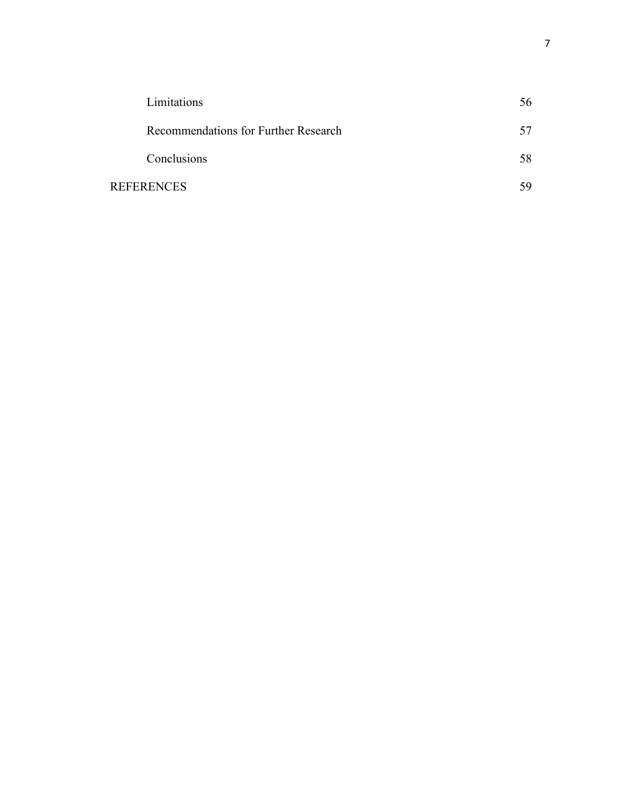| Limitations                          | 56 |
|--------------------------------------|----|
| Recommendations for Further Research |    |
| Conclusions                          | 58 |
| <b>REFERENCES</b>                    |    |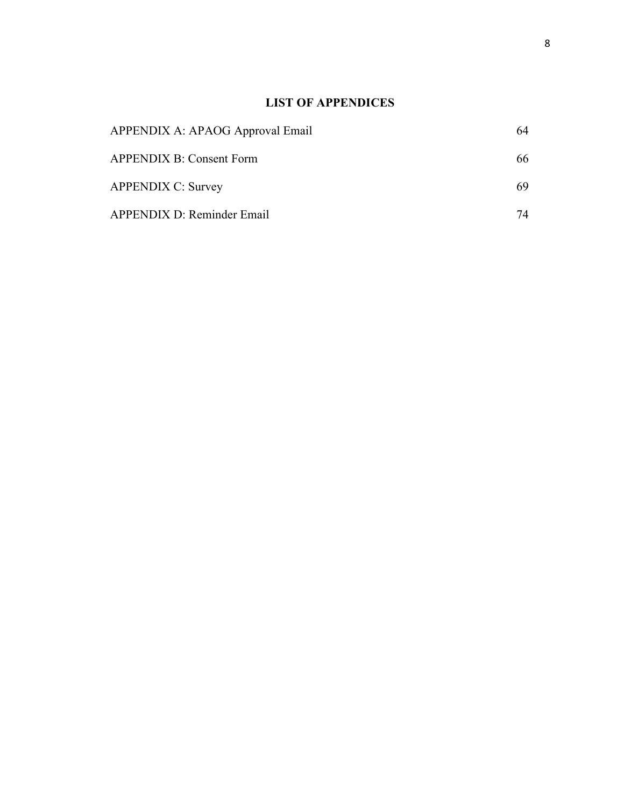# **LIST OF APPENDICES**

| APPENDIX A: APAOG Approval Email | 64 |
|----------------------------------|----|
| <b>APPENDIX B: Consent Form</b>  | 66 |
| <b>APPENDIX C: Survey</b>        | 69 |
| APPENDIX D: Reminder Email       | 74 |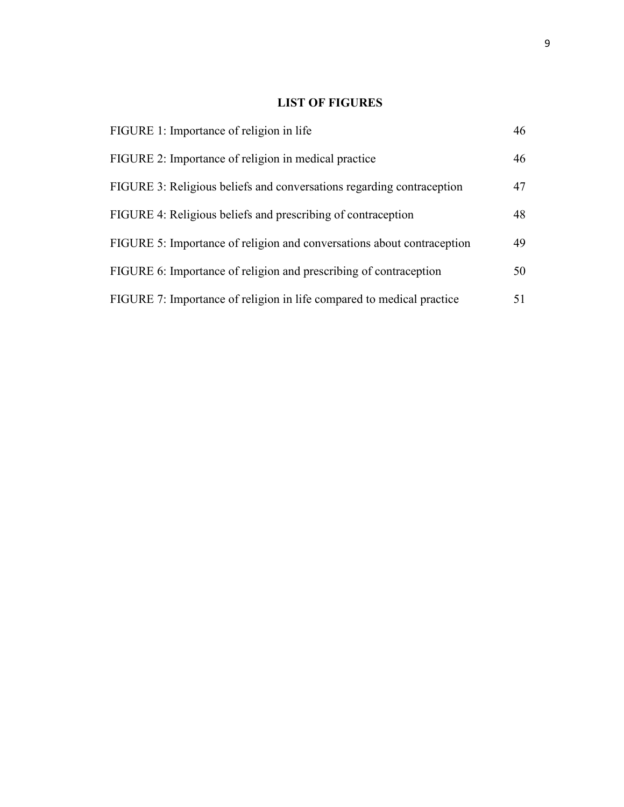# **LIST OF FIGURES**

| FIGURE 1: Importance of religion in life                               | 46 |
|------------------------------------------------------------------------|----|
| FIGURE 2: Importance of religion in medical practice                   | 46 |
| FIGURE 3: Religious beliefs and conversations regarding contraception  | 47 |
| FIGURE 4: Religious beliefs and prescribing of contraception           | 48 |
| FIGURE 5: Importance of religion and conversations about contraception | 49 |
| FIGURE 6: Importance of religion and prescribing of contraception      | 50 |
| FIGURE 7: Importance of religion in life compared to medical practice  | 51 |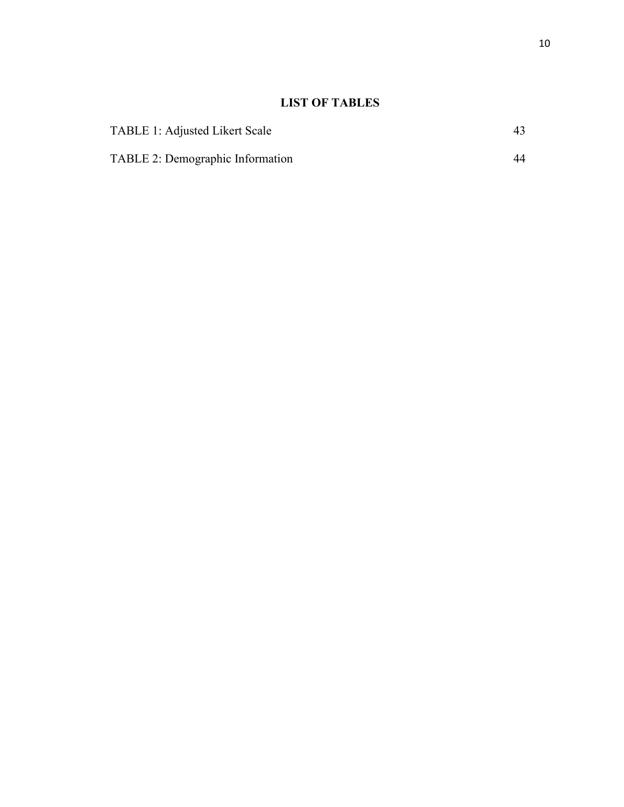# **LIST OF TABLES**

| <b>TABLE 1: Adjusted Likert Scale</b>   | 43. |
|-----------------------------------------|-----|
| <b>TABLE 2: Demographic Information</b> | 44  |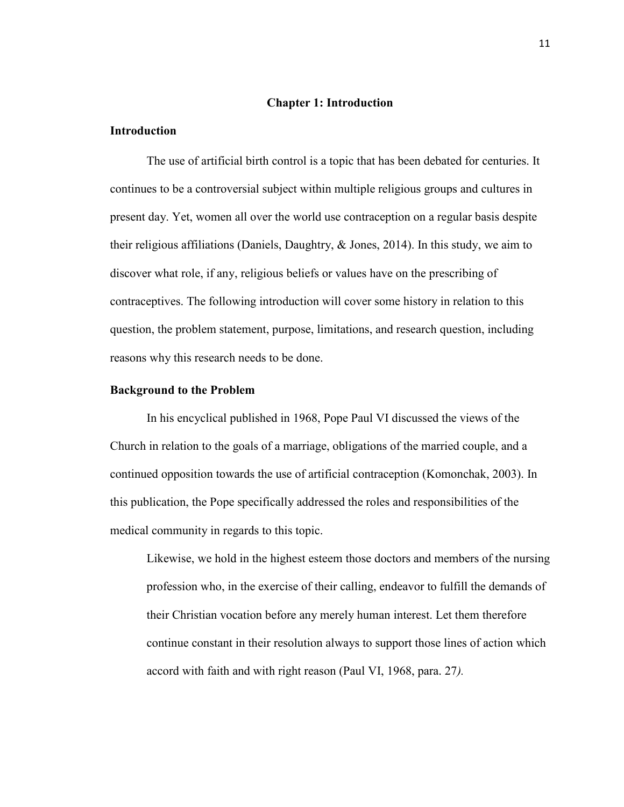#### **Chapter 1: Introduction**

## **Introduction**

The use of artificial birth control is a topic that has been debated for centuries. It continues to be a controversial subject within multiple religious groups and cultures in present day. Yet, women all over the world use contraception on a regular basis despite their religious affiliations (Daniels, Daughtry, & Jones, 2014). In this study, we aim to discover what role, if any, religious beliefs or values have on the prescribing of contraceptives. The following introduction will cover some history in relation to this question, the problem statement, purpose, limitations, and research question, including reasons why this research needs to be done.

#### **Background to the Problem**

In his encyclical published in 1968, Pope Paul VI discussed the views of the Church in relation to the goals of a marriage, obligations of the married couple, and a continued opposition towards the use of artificial contraception (Komonchak, 2003). In this publication, the Pope specifically addressed the roles and responsibilities of the medical community in regards to this topic.

Likewise, we hold in the highest esteem those doctors and members of the nursing profession who, in the exercise of their calling, endeavor to fulfill the demands of their Christian vocation before any merely human interest. Let them therefore continue constant in their resolution always to support those lines of action which accord with faith and with right reason (Paul VI, 1968, para. 27*).*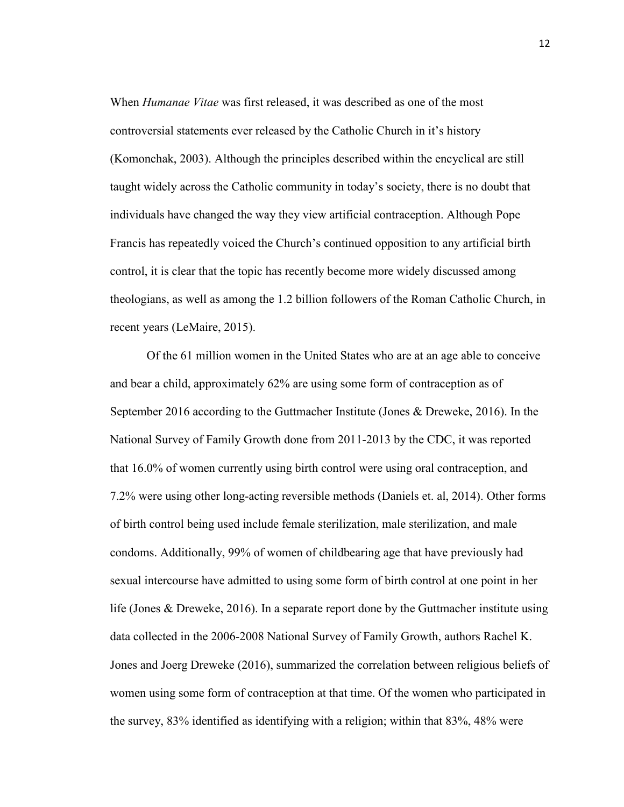When *Humanae Vitae* was first released, it was described as one of the most controversial statements ever released by the Catholic Church in it's history (Komonchak, 2003). Although the principles described within the encyclical are still taught widely across the Catholic community in today's society, there is no doubt that individuals have changed the way they view artificial contraception. Although Pope Francis has repeatedly voiced the Church's continued opposition to any artificial birth control, it is clear that the topic has recently become more widely discussed among theologians, as well as among the 1.2 billion followers of the Roman Catholic Church, in recent years (LeMaire, 2015).

Of the 61 million women in the United States who are at an age able to conceive and bear a child, approximately 62% are using some form of contraception as of September 2016 according to the Guttmacher Institute (Jones & Dreweke, 2016). In the National Survey of Family Growth done from 2011-2013 by the CDC, it was reported that 16.0% of women currently using birth control were using oral contraception, and 7.2% were using other long-acting reversible methods (Daniels et. al, 2014). Other forms of birth control being used include female sterilization, male sterilization, and male condoms. Additionally, 99% of women of childbearing age that have previously had sexual intercourse have admitted to using some form of birth control at one point in her life (Jones & Dreweke, 2016). In a separate report done by the Guttmacher institute using data collected in the 2006-2008 National Survey of Family Growth, authors Rachel K. Jones and Joerg Dreweke (2016), summarized the correlation between religious beliefs of women using some form of contraception at that time. Of the women who participated in the survey, 83% identified as identifying with a religion; within that 83%, 48% were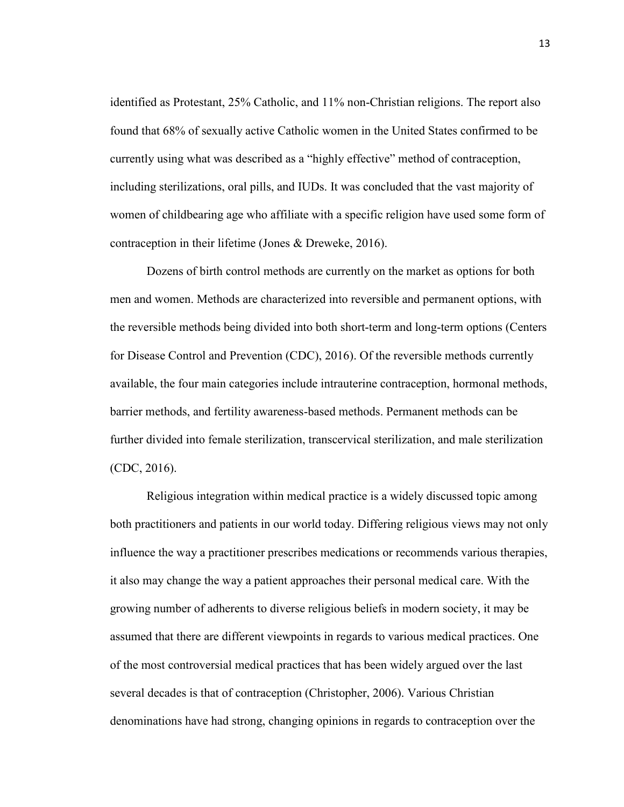identified as Protestant, 25% Catholic, and 11% non-Christian religions. The report also found that 68% of sexually active Catholic women in the United States confirmed to be currently using what was described as a "highly effective" method of contraception, including sterilizations, oral pills, and IUDs. It was concluded that the vast majority of women of childbearing age who affiliate with a specific religion have used some form of contraception in their lifetime (Jones & Dreweke, 2016).

Dozens of birth control methods are currently on the market as options for both men and women. Methods are characterized into reversible and permanent options, with the reversible methods being divided into both short-term and long-term options (Centers for Disease Control and Prevention (CDC), 2016). Of the reversible methods currently available, the four main categories include intrauterine contraception, hormonal methods, barrier methods, and fertility awareness-based methods. Permanent methods can be further divided into female sterilization, transcervical sterilization, and male sterilization (CDC, 2016).

Religious integration within medical practice is a widely discussed topic among both practitioners and patients in our world today. Differing religious views may not only influence the way a practitioner prescribes medications or recommends various therapies, it also may change the way a patient approaches their personal medical care. With the growing number of adherents to diverse religious beliefs in modern society, it may be assumed that there are different viewpoints in regards to various medical practices. One of the most controversial medical practices that has been widely argued over the last several decades is that of contraception (Christopher, 2006). Various Christian denominations have had strong, changing opinions in regards to contraception over the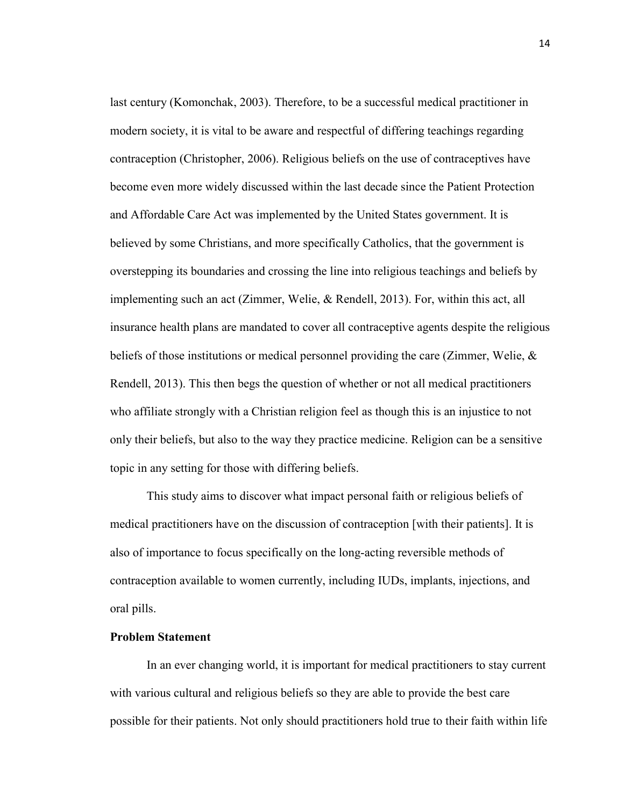last century (Komonchak, 2003). Therefore, to be a successful medical practitioner in modern society, it is vital to be aware and respectful of differing teachings regarding contraception (Christopher, 2006). Religious beliefs on the use of contraceptives have become even more widely discussed within the last decade since the Patient Protection and Affordable Care Act was implemented by the United States government. It is believed by some Christians, and more specifically Catholics, that the government is overstepping its boundaries and crossing the line into religious teachings and beliefs by implementing such an act (Zimmer, Welie, & Rendell, 2013). For, within this act, all insurance health plans are mandated to cover all contraceptive agents despite the religious beliefs of those institutions or medical personnel providing the care (Zimmer, Welie, & Rendell, 2013). This then begs the question of whether or not all medical practitioners who affiliate strongly with a Christian religion feel as though this is an injustice to not only their beliefs, but also to the way they practice medicine. Religion can be a sensitive topic in any setting for those with differing beliefs.

This study aims to discover what impact personal faith or religious beliefs of medical practitioners have on the discussion of contraception [with their patients]. It is also of importance to focus specifically on the long-acting reversible methods of contraception available to women currently, including IUDs, implants, injections, and oral pills.

#### **Problem Statement**

In an ever changing world, it is important for medical practitioners to stay current with various cultural and religious beliefs so they are able to provide the best care possible for their patients. Not only should practitioners hold true to their faith within life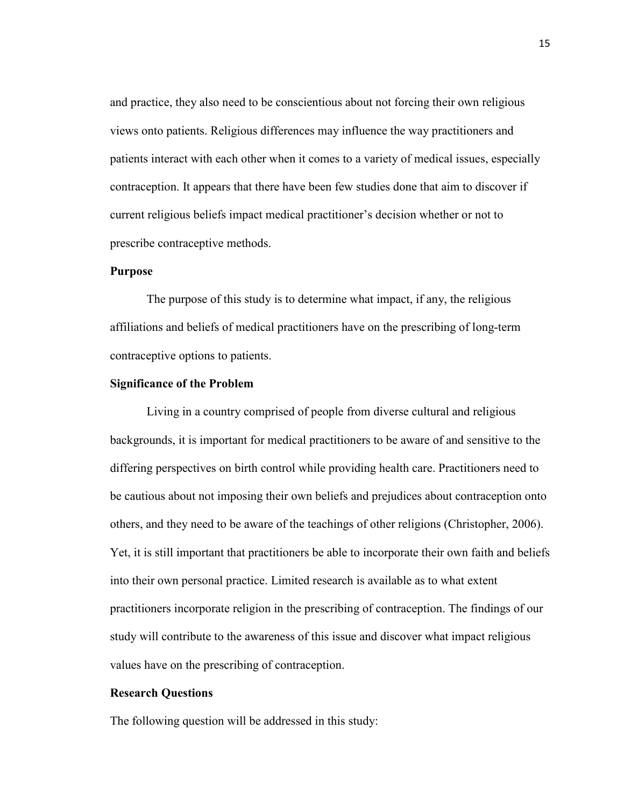and practice, they also need to be conscientious about not forcing their own religious views onto patients. Religious differences may influence the way practitioners and patients interact with each other when it comes to a variety of medical issues, especially contraception. It appears that there have been few studies done that aim to discover if current religious beliefs impact medical practitioner's decision whether or not to prescribe contraceptive methods.

### **Purpose**

The purpose of this study is to determine what impact, if any, the religious affiliations and beliefs of medical practitioners have on the prescribing of long-term contraceptive options to patients.

#### **Significance of the Problem**

Living in a country comprised of people from diverse cultural and religious backgrounds, it is important for medical practitioners to be aware of and sensitive to the differing perspectives on birth control while providing health care. Practitioners need to be cautious about not imposing their own beliefs and prejudices about contraception onto others, and they need to be aware of the teachings of other religions (Christopher, 2006). Yet, it is still important that practitioners be able to incorporate their own faith and beliefs into their own personal practice. Limited research is available as to what extent practitioners incorporate religion in the prescribing of contraception. The findings of our study will contribute to the awareness of this issue and discover what impact religious values have on the prescribing of contraception.

#### **Research Questions**

The following question will be addressed in this study: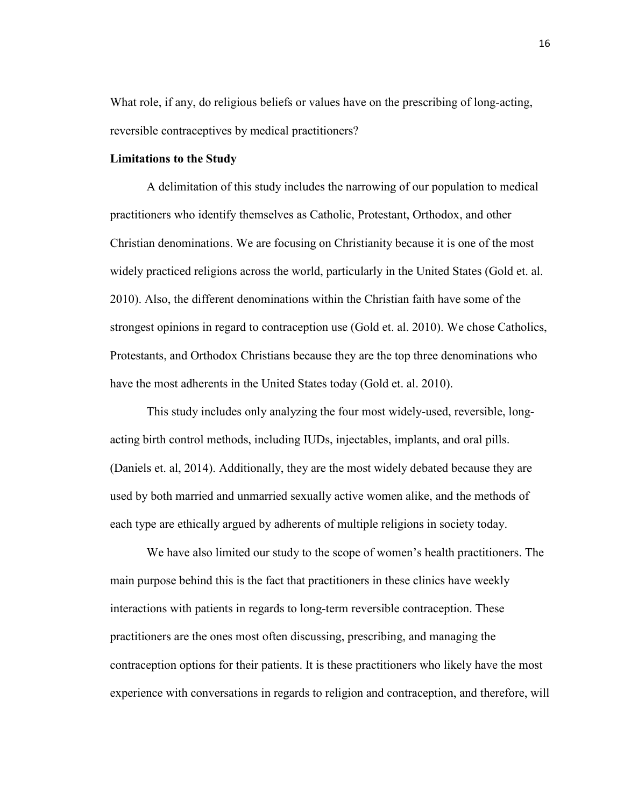What role, if any, do religious beliefs or values have on the prescribing of long-acting, reversible contraceptives by medical practitioners?

#### **Limitations to the Study**

A delimitation of this study includes the narrowing of our population to medical practitioners who identify themselves as Catholic, Protestant, Orthodox, and other Christian denominations. We are focusing on Christianity because it is one of the most widely practiced religions across the world, particularly in the United States (Gold et. al. 2010). Also, the different denominations within the Christian faith have some of the strongest opinions in regard to contraception use (Gold et. al. 2010). We chose Catholics, Protestants, and Orthodox Christians because they are the top three denominations who have the most adherents in the United States today (Gold et. al. 2010).

This study includes only analyzing the four most widely-used, reversible, longacting birth control methods, including IUDs, injectables, implants, and oral pills. (Daniels et. al, 2014). Additionally, they are the most widely debated because they are used by both married and unmarried sexually active women alike, and the methods of each type are ethically argued by adherents of multiple religions in society today.

We have also limited our study to the scope of women's health practitioners. The main purpose behind this is the fact that practitioners in these clinics have weekly interactions with patients in regards to long-term reversible contraception. These practitioners are the ones most often discussing, prescribing, and managing the contraception options for their patients. It is these practitioners who likely have the most experience with conversations in regards to religion and contraception, and therefore, will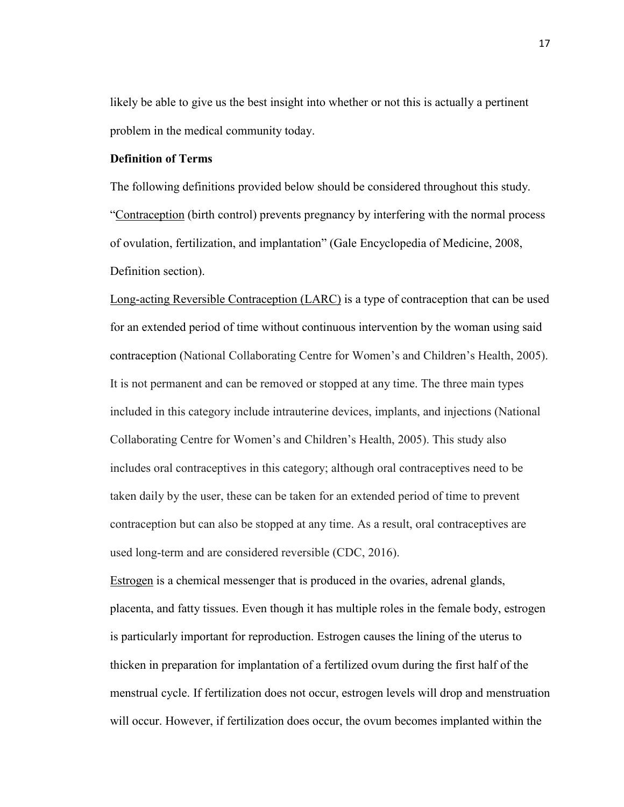likely be able to give us the best insight into whether or not this is actually a pertinent problem in the medical community today.

## **Definition of Terms**

The following definitions provided below should be considered throughout this study. "Contraception (birth control) prevent[s pregnancy](http://medical-dictionary.thefreedictionary.com/pregnancy) by interfering with the normal process of ovulation, fertilization, and implantation" (Gale Encyclopedia of Medicine, 2008, Definition section).

Long-acting Reversible Contraception (LARC) is a type of contraception that can be used for an extended period of time without continuous intervention by the woman using said contraception (National Collaborating Centre for Women's and Children's Health, 2005). It is not permanent and can be removed or stopped at any time. The three main types included in this category include intrauterine devices, implants, and injections (National Collaborating Centre for Women's and Children's Health, 2005). This study also includes oral contraceptives in this category; although oral contraceptives need to be taken daily by the user, these can be taken for an extended period of time to prevent contraception but can also be stopped at any time. As a result, oral contraceptives are used long-term and are considered reversible (CDC, 2016).

Estrogen is a chemical messenger that is produced in the ovaries, adrenal glands, placenta, and fatty tissues. Even though it has multiple roles in the female body, estrogen is particularly important for reproduction. Estrogen causes the lining of the uterus to thicken in preparation for implantation of a fertilized ovum during the first half of the menstrual cycle. If fertilization does not occur, estrogen levels will drop and menstruation will occur. However, if fertilization does occur, the ovum becomes implanted within the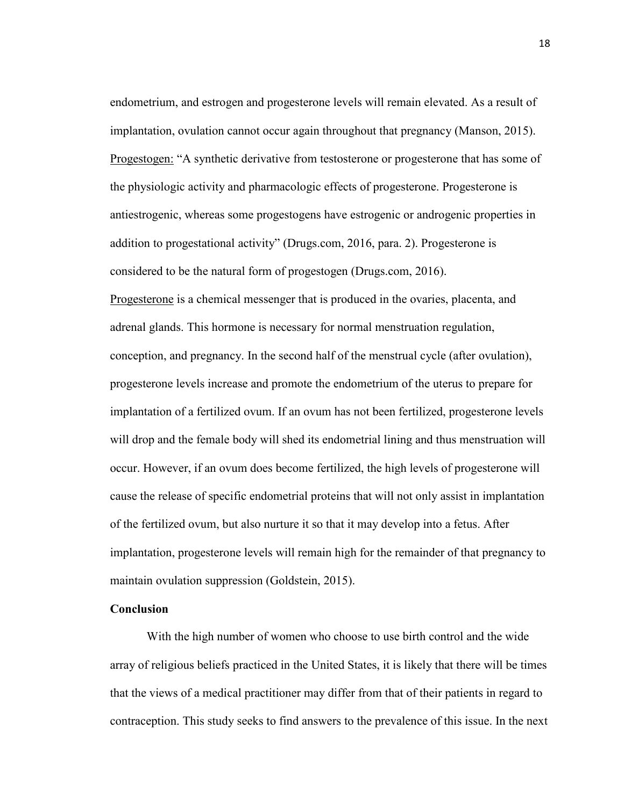endometrium, and estrogen and progesterone levels will remain elevated. As a result of implantation, ovulation cannot occur again throughout that pregnancy (Manson, 2015). Progestogen: "A synthetic derivative from testosterone or progesterone that has some of the physiologic activity and pharmacologic effects of progesterone. Progesterone is antiestrogenic, whereas some progestogens have estrogenic or androgenic properties in addition to progestational activity" (Drugs.com, 2016, para. 2). Progesterone is considered to be the natural form of progestogen (Drugs.com, 2016).

Progesterone is a chemical messenger that is produced in the ovaries, placenta, and adrenal glands. This hormone is necessary for normal menstruation regulation, conception, and pregnancy. In the second half of the menstrual cycle (after ovulation), progesterone levels increase and promote the endometrium of the uterus to prepare for implantation of a fertilized ovum. If an ovum has not been fertilized, progesterone levels will drop and the female body will shed its endometrial lining and thus menstruation will occur. However, if an ovum does become fertilized, the high levels of progesterone will cause the release of specific endometrial proteins that will not only assist in implantation of the fertilized ovum, but also nurture it so that it may develop into a fetus. After implantation, progesterone levels will remain high for the remainder of that pregnancy to maintain ovulation suppression (Goldstein, 2015).

#### **Conclusion**

With the high number of women who choose to use birth control and the wide array of religious beliefs practiced in the United States, it is likely that there will be times that the views of a medical practitioner may differ from that of their patients in regard to contraception. This study seeks to find answers to the prevalence of this issue. In the next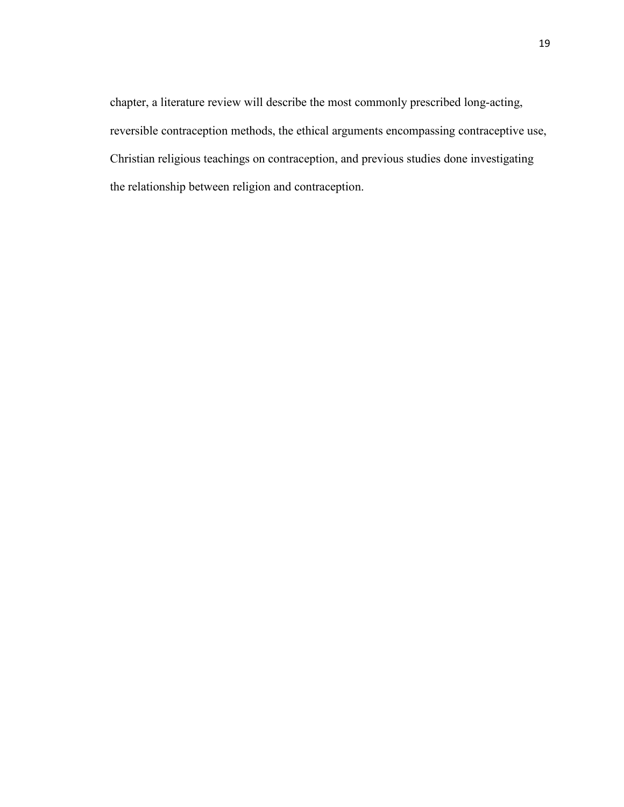chapter, a literature review will describe the most commonly prescribed long-acting, reversible contraception methods, the ethical arguments encompassing contraceptive use, Christian religious teachings on contraception, and previous studies done investigating the relationship between religion and contraception.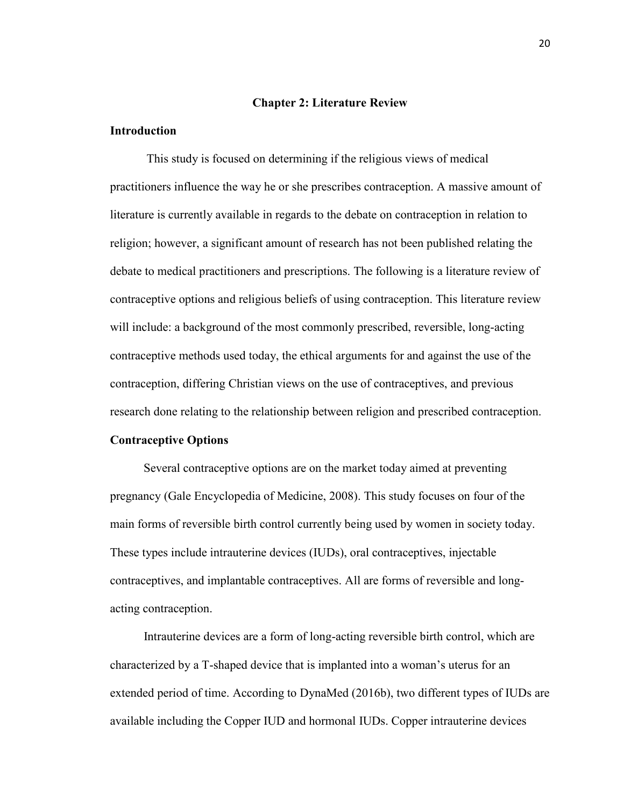#### **Chapter 2: Literature Review**

## **Introduction**

This study is focused on determining if the religious views of medical practitioners influence the way he or she prescribes contraception. A massive amount of literature is currently available in regards to the debate on contraception in relation to religion; however, a significant amount of research has not been published relating the debate to medical practitioners and prescriptions. The following is a literature review of contraceptive options and religious beliefs of using contraception. This literature review will include: a background of the most commonly prescribed, reversible, long-acting contraceptive methods used today, the ethical arguments for and against the use of the contraception, differing Christian views on the use of contraceptives, and previous research done relating to the relationship between religion and prescribed contraception.

### **Contraceptive Options**

 Several contraceptive options are on the market today aimed at preventing pregnancy (Gale Encyclopedia of Medicine, 2008). This study focuses on four of the main forms of reversible birth control currently being used by women in society today. These types include intrauterine devices (IUDs), oral contraceptives, injectable contraceptives, and implantable contraceptives. All are forms of reversible and longacting contraception.

 Intrauterine devices are a form of long-acting reversible birth control, which are characterized by a T-shaped device that is implanted into a woman's uterus for an extended period of time. According to DynaMed (2016b), two different types of IUDs are available including the Copper IUD and hormonal IUDs. Copper intrauterine devices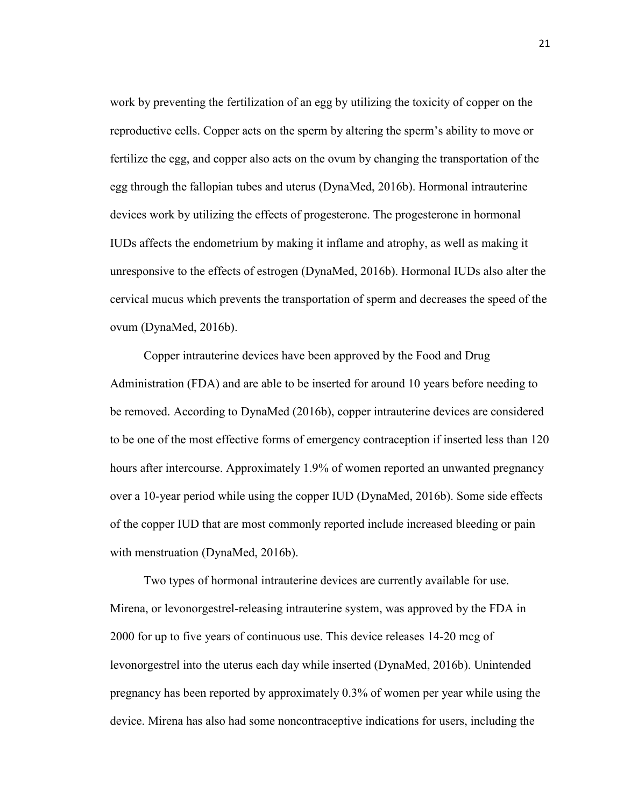work by preventing the fertilization of an egg by utilizing the toxicity of copper on the reproductive cells. Copper acts on the sperm by altering the sperm's ability to move or fertilize the egg, and copper also acts on the ovum by changing the transportation of the egg through the fallopian tubes and uterus (DynaMed, 2016b). Hormonal intrauterine devices work by utilizing the effects of progesterone. The progesterone in hormonal IUDs affects the endometrium by making it inflame and atrophy, as well as making it unresponsive to the effects of estrogen (DynaMed, 2016b). Hormonal IUDs also alter the cervical mucus which prevents the transportation of sperm and decreases the speed of the ovum (DynaMed, 2016b).

 Copper intrauterine devices have been approved by the Food and Drug Administration (FDA) and are able to be inserted for around 10 years before needing to be removed. According to DynaMed (2016b), copper intrauterine devices are considered to be one of the most effective forms of emergency contraception if inserted less than 120 hours after intercourse. Approximately 1.9% of women reported an unwanted pregnancy over a 10-year period while using the copper IUD (DynaMed, 2016b). Some side effects of the copper IUD that are most commonly reported include increased bleeding or pain with menstruation (DynaMed, 2016b).

 Two types of hormonal intrauterine devices are currently available for use. Mirena, or levonorgestrel-releasing intrauterine system, was approved by the FDA in 2000 for up to five years of continuous use. This device releases 14-20 mcg of levonorgestrel into the uterus each day while inserted (DynaMed, 2016b). Unintended pregnancy has been reported by approximately 0.3% of women per year while using the device. Mirena has also had some noncontraceptive indications for users, including the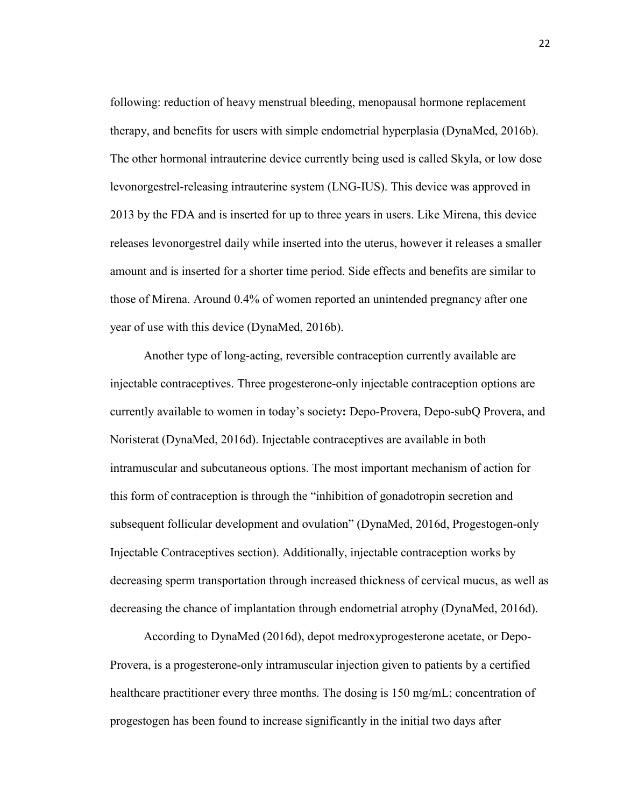following: reduction of heavy menstrual bleeding, menopausal hormone replacement therapy, and benefits for users with simple endometrial hyperplasia (DynaMed, 2016b). The other hormonal intrauterine device currently being used is called Skyla, or low dose levonorgestrel-releasing intrauterine system (LNG-IUS). This device was approved in 2013 by the FDA and is inserted for up to three years in users. Like Mirena, this device releases levonorgestrel daily while inserted into the uterus, however it releases a smaller amount and is inserted for a shorter time period. Side effects and benefits are similar to those of Mirena. Around 0.4% of women reported an unintended pregnancy after one year of use with this device (DynaMed, 2016b).

 Another type of long-acting, reversible contraception currently available are injectable contraceptives. Three progesterone-only injectable contraception options are currently available to women in today's society**:** Depo-Provera, Depo-subQ Provera, and Noristerat (DynaMed, 2016d). Injectable contraceptives are available in both intramuscular and subcutaneous options. The most important mechanism of action for this form of contraception is through the "inhibition of gonadotropin secretion and subsequent follicular development and ovulation" (DynaMed, 2016d, Progestogen-only Injectable Contraceptives section). Additionally, injectable contraception works by decreasing sperm transportation through increased thickness of cervical mucus, as well as decreasing the chance of implantation through endometrial atrophy (DynaMed, 2016d).

 According to DynaMed (2016d), depot medroxyprogesterone acetate, or Depo-Provera, is a progesterone-only intramuscular injection given to patients by a certified healthcare practitioner every three months. The dosing is 150 mg/mL; concentration of progestogen has been found to increase significantly in the initial two days after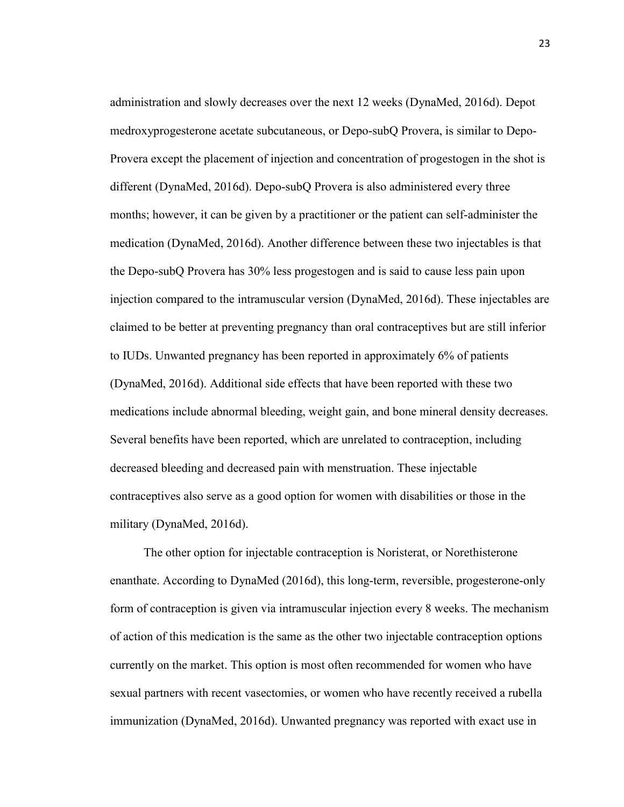administration and slowly decreases over the next 12 weeks (DynaMed, 2016d). Depot medroxyprogesterone acetate subcutaneous, or Depo-subQ Provera, is similar to Depo-Provera except the placement of injection and concentration of progestogen in the shot is different (DynaMed, 2016d). Depo-subQ Provera is also administered every three months; however, it can be given by a practitioner or the patient can self-administer the medication (DynaMed, 2016d). Another difference between these two injectables is that the Depo-subQ Provera has 30% less progestogen and is said to cause less pain upon injection compared to the intramuscular version (DynaMed, 2016d). These injectables are claimed to be better at preventing pregnancy than oral contraceptives but are still inferior to IUDs. Unwanted pregnancy has been reported in approximately 6% of patients (DynaMed, 2016d). Additional side effects that have been reported with these two medications include abnormal bleeding, weight gain, and bone mineral density decreases. Several benefits have been reported, which are unrelated to contraception, including decreased bleeding and decreased pain with menstruation. These injectable contraceptives also serve as a good option for women with disabilities or those in the military (DynaMed, 2016d).

 The other option for injectable contraception is Noristerat, or Norethisterone enanthate. According to DynaMed (2016d), this long-term, reversible, progesterone-only form of contraception is given via intramuscular injection every 8 weeks. The mechanism of action of this medication is the same as the other two injectable contraception options currently on the market. This option is most often recommended for women who have sexual partners with recent vasectomies, or women who have recently received a rubella immunization (DynaMed, 2016d). Unwanted pregnancy was reported with exact use in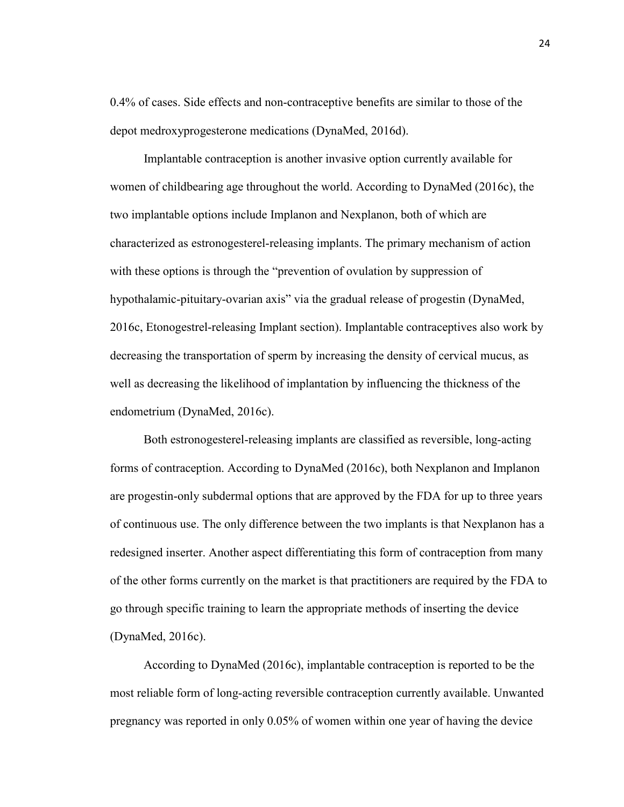0.4% of cases. Side effects and non-contraceptive benefits are similar to those of the depot medroxyprogesterone medications (DynaMed, 2016d).

 Implantable contraception is another invasive option currently available for women of childbearing age throughout the world. According to DynaMed (2016c), the two implantable options include Implanon and Nexplanon, both of which are characterized as estronogesterel-releasing implants. The primary mechanism of action with these options is through the "prevention of ovulation by suppression of hypothalamic-pituitary-ovarian axis" via the gradual release of progestin (DynaMed, 2016c, Etonogestrel-releasing Implant section). Implantable contraceptives also work by decreasing the transportation of sperm by increasing the density of cervical mucus, as well as decreasing the likelihood of implantation by influencing the thickness of the endometrium (DynaMed, 2016c).

 Both estronogesterel-releasing implants are classified as reversible, long-acting forms of contraception. According to DynaMed (2016c), both Nexplanon and Implanon are progestin-only subdermal options that are approved by the FDA for up to three years of continuous use. The only difference between the two implants is that Nexplanon has a redesigned inserter. Another aspect differentiating this form of contraception from many of the other forms currently on the market is that practitioners are required by the FDA to go through specific training to learn the appropriate methods of inserting the device (DynaMed, 2016c).

 According to DynaMed (2016c), implantable contraception is reported to be the most reliable form of long-acting reversible contraception currently available. Unwanted pregnancy was reported in only 0.05% of women within one year of having the device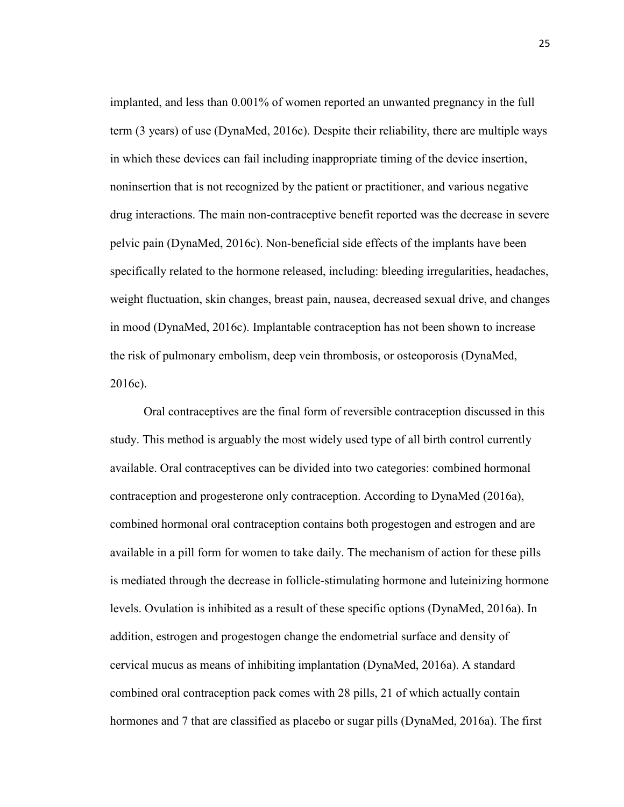implanted, and less than 0.001% of women reported an unwanted pregnancy in the full term (3 years) of use (DynaMed, 2016c). Despite their reliability, there are multiple ways in which these devices can fail including inappropriate timing of the device insertion, noninsertion that is not recognized by the patient or practitioner, and various negative drug interactions. The main non-contraceptive benefit reported was the decrease in severe pelvic pain (DynaMed, 2016c). Non-beneficial side effects of the implants have been specifically related to the hormone released, including: bleeding irregularities, headaches, weight fluctuation, skin changes, breast pain, nausea, decreased sexual drive, and changes in mood (DynaMed, 2016c). Implantable contraception has not been shown to increase the risk of pulmonary embolism, deep vein thrombosis, or osteoporosis (DynaMed, 2016c).

 Oral contraceptives are the final form of reversible contraception discussed in this study. This method is arguably the most widely used type of all birth control currently available. Oral contraceptives can be divided into two categories: combined hormonal contraception and progesterone only contraception. According to DynaMed (2016a), combined hormonal oral contraception contains both progestogen and estrogen and are available in a pill form for women to take daily. The mechanism of action for these pills is mediated through the decrease in follicle-stimulating hormone and luteinizing hormone levels. Ovulation is inhibited as a result of these specific options (DynaMed, 2016a). In addition, estrogen and progestogen change the endometrial surface and density of cervical mucus as means of inhibiting implantation (DynaMed, 2016a). A standard combined oral contraception pack comes with 28 pills, 21 of which actually contain hormones and 7 that are classified as placebo or sugar pills (DynaMed, 2016a). The first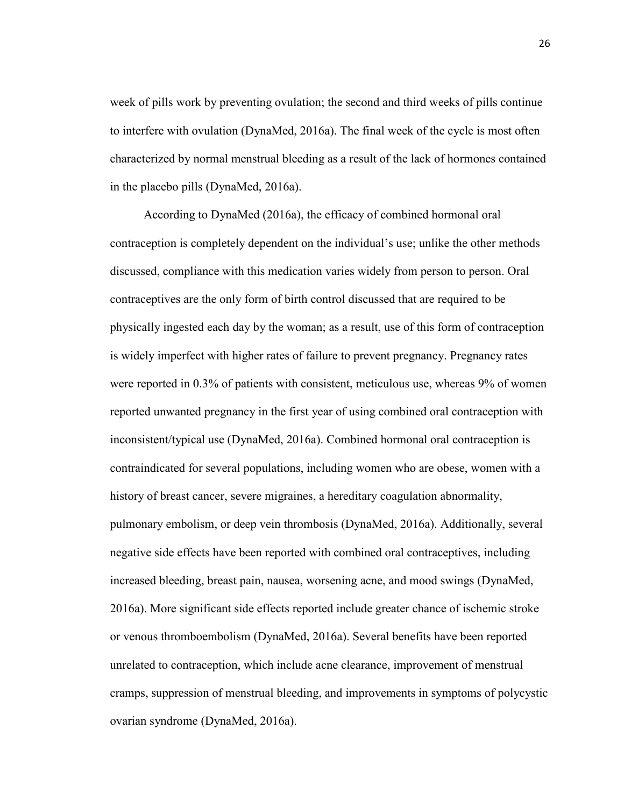week of pills work by preventing ovulation; the second and third weeks of pills continue to interfere with ovulation (DynaMed, 2016a). The final week of the cycle is most often characterized by normal menstrual bleeding as a result of the lack of hormones contained in the placebo pills (DynaMed, 2016a).

 According to DynaMed (2016a), the efficacy of combined hormonal oral contraception is completely dependent on the individual's use; unlike the other methods discussed, compliance with this medication varies widely from person to person. Oral contraceptives are the only form of birth control discussed that are required to be physically ingested each day by the woman; as a result, use of this form of contraception is widely imperfect with higher rates of failure to prevent pregnancy. Pregnancy rates were reported in 0.3% of patients with consistent, meticulous use, whereas 9% of women reported unwanted pregnancy in the first year of using combined oral contraception with inconsistent/typical use (DynaMed, 2016a). Combined hormonal oral contraception is contraindicated for several populations, including women who are obese, women with a history of breast cancer, severe migraines, a hereditary coagulation abnormality, pulmonary embolism, or deep vein thrombosis (DynaMed, 2016a). Additionally, several negative side effects have been reported with combined oral contraceptives, including increased bleeding, breast pain, nausea, worsening acne, and mood swings (DynaMed, 2016a). More significant side effects reported include greater chance of ischemic stroke or venous thromboembolism (DynaMed, 2016a). Several benefits have been reported unrelated to contraception, which include acne clearance, improvement of menstrual cramps, suppression of menstrual bleeding, and improvements in symptoms of polycystic ovarian syndrome (DynaMed, 2016a).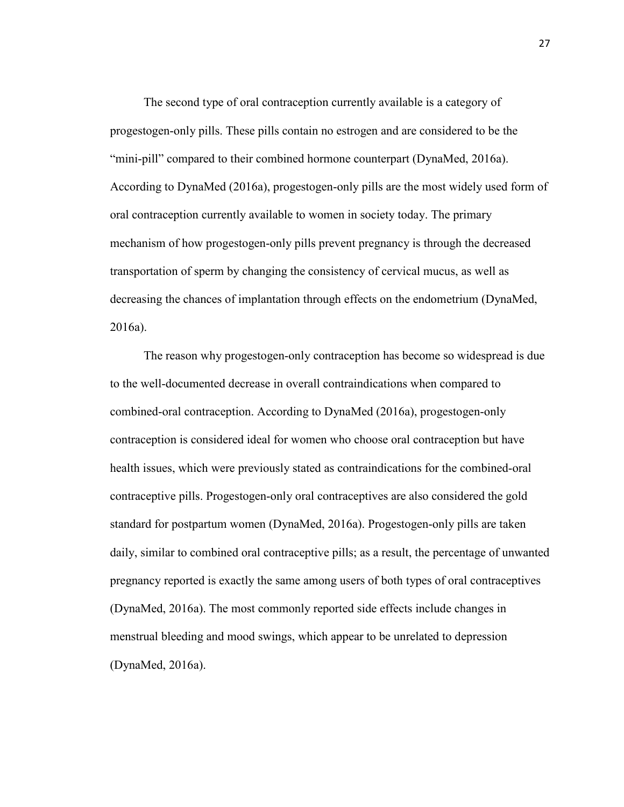The second type of oral contraception currently available is a category of progestogen-only pills. These pills contain no estrogen and are considered to be the "mini-pill" compared to their combined hormone counterpart (DynaMed, 2016a). According to DynaMed (2016a), progestogen-only pills are the most widely used form of oral contraception currently available to women in society today. The primary mechanism of how progestogen-only pills prevent pregnancy is through the decreased transportation of sperm by changing the consistency of cervical mucus, as well as decreasing the chances of implantation through effects on the endometrium (DynaMed, 2016a).

 The reason why progestogen-only contraception has become so widespread is due to the well-documented decrease in overall contraindications when compared to combined-oral contraception. According to DynaMed (2016a), progestogen-only contraception is considered ideal for women who choose oral contraception but have health issues, which were previously stated as contraindications for the combined-oral contraceptive pills. Progestogen-only oral contraceptives are also considered the gold standard for postpartum women (DynaMed, 2016a). Progestogen-only pills are taken daily, similar to combined oral contraceptive pills; as a result, the percentage of unwanted pregnancy reported is exactly the same among users of both types of oral contraceptives (DynaMed, 2016a). The most commonly reported side effects include changes in menstrual bleeding and mood swings, which appear to be unrelated to depression (DynaMed, 2016a).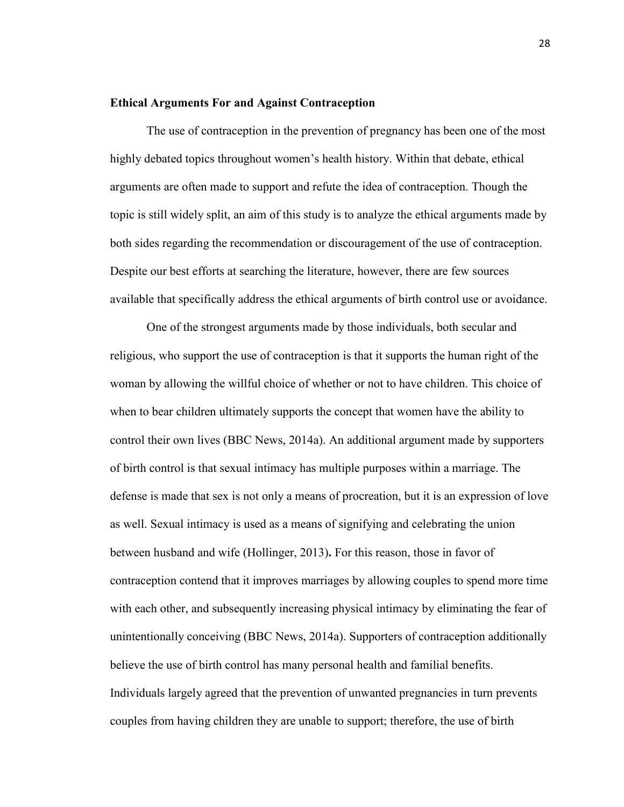#### **Ethical Arguments For and Against Contraception**

The use of contraception in the prevention of pregnancy has been one of the most highly debated topics throughout women's health history. Within that debate, ethical arguments are often made to support and refute the idea of contraception. Though the topic is still widely split, an aim of this study is to analyze the ethical arguments made by both sides regarding the recommendation or discouragement of the use of contraception. Despite our best efforts at searching the literature, however, there are few sources available that specifically address the ethical arguments of birth control use or avoidance.

One of the strongest arguments made by those individuals, both secular and religious, who support the use of contraception is that it supports the human right of the woman by allowing the willful choice of whether or not to have children. This choice of when to bear children ultimately supports the concept that women have the ability to control their own lives (BBC News, 2014a). An additional argument made by supporters of birth control is that sexual intimacy has multiple purposes within a marriage. The defense is made that sex is not only a means of procreation, but it is an expression of love as well. Sexual intimacy is used as a means of signifying and celebrating the union between husband and wife (Hollinger, 2013)**.** For this reason, those in favor of contraception contend that it improves marriages by allowing couples to spend more time with each other, and subsequently increasing physical intimacy by eliminating the fear of unintentionally conceiving (BBC News, 2014a). Supporters of contraception additionally believe the use of birth control has many personal health and familial benefits. Individuals largely agreed that the prevention of unwanted pregnancies in turn prevents couples from having children they are unable to support; therefore, the use of birth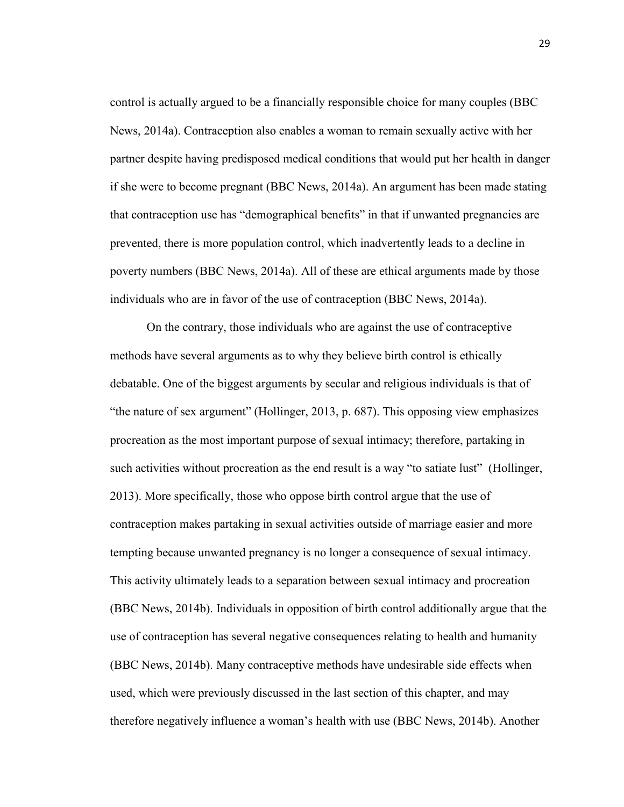control is actually argued to be a financially responsible choice for many couples (BBC News, 2014a). Contraception also enables a woman to remain sexually active with her partner despite having predisposed medical conditions that would put her health in danger if she were to become pregnant (BBC News, 2014a). An argument has been made stating that contraception use has "demographical benefits" in that if unwanted pregnancies are prevented, there is more population control, which inadvertently leads to a decline in poverty numbers (BBC News, 2014a). All of these are ethical arguments made by those individuals who are in favor of the use of contraception (BBC News, 2014a).

On the contrary, those individuals who are against the use of contraceptive methods have several arguments as to why they believe birth control is ethically debatable. One of the biggest arguments by secular and religious individuals is that of "the nature of sex argument" (Hollinger, 2013, p. 687). This opposing view emphasizes procreation as the most important purpose of sexual intimacy; therefore, partaking in such activities without procreation as the end result is a way "to satiate lust" (Hollinger, 2013). More specifically, those who oppose birth control argue that the use of contraception makes partaking in sexual activities outside of marriage easier and more tempting because unwanted pregnancy is no longer a consequence of sexual intimacy. This activity ultimately leads to a separation between sexual intimacy and procreation (BBC News, 2014b). Individuals in opposition of birth control additionally argue that the use of contraception has several negative consequences relating to health and humanity (BBC News, 2014b). Many contraceptive methods have undesirable side effects when used, which were previously discussed in the last section of this chapter, and may therefore negatively influence a woman's health with use (BBC News, 2014b). Another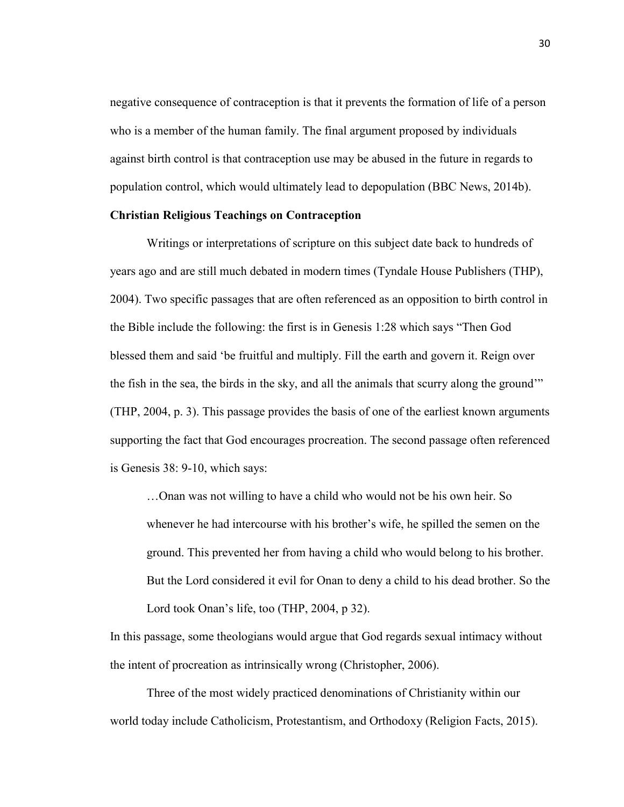negative consequence of contraception is that it prevents the formation of life of a person who is a member of the human family. The final argument proposed by individuals against birth control is that contraception use may be abused in the future in regards to population control, which would ultimately lead to depopulation (BBC News, 2014b).

#### **Christian Religious Teachings on Contraception**

Writings or interpretations of scripture on this subject date back to hundreds of years ago and are still much debated in modern times (Tyndale House Publishers (THP), 2004). Two specific passages that are often referenced as an opposition to birth control in the Bible include the following: the first is in Genesis 1:28 which says "Then God blessed them and said 'be fruitful and multiply. Fill the earth and govern it. Reign over the fish in the sea, the birds in the sky, and all the animals that scurry along the ground'" (THP, 2004, p. 3). This passage provides the basis of one of the earliest known arguments supporting the fact that God encourages procreation. The second passage often referenced is Genesis 38: 9-10, which says:

…Onan was not willing to have a child who would not be his own heir. So whenever he had intercourse with his brother's wife, he spilled the semen on the ground. This prevented her from having a child who would belong to his brother. But the Lord considered it evil for Onan to deny a child to his dead brother. So the Lord took Onan's life, too (THP, 2004, p 32).

In this passage, some theologians would argue that God regards sexual intimacy without the intent of procreation as intrinsically wrong (Christopher, 2006).

Three of the most widely practiced denominations of Christianity within our world today include Catholicism, Protestantism, and Orthodoxy (Religion Facts, 2015).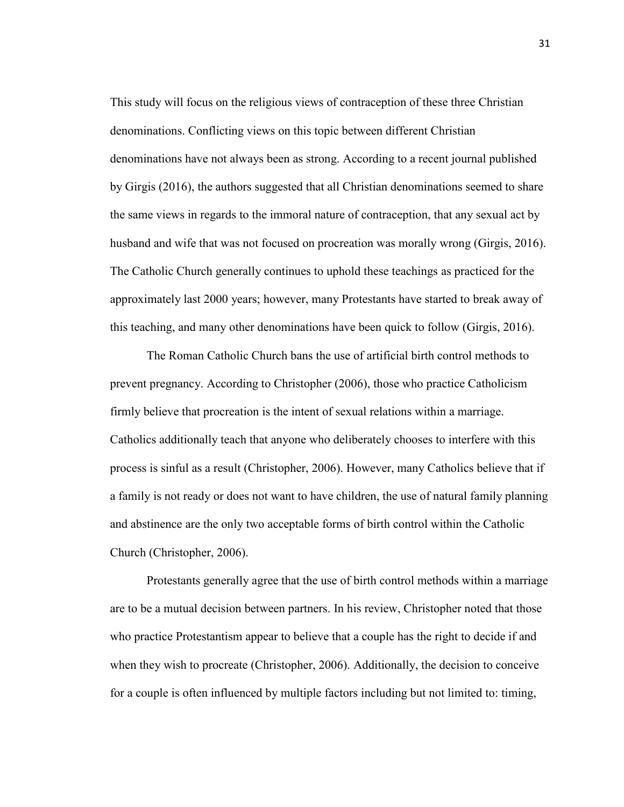This study will focus on the religious views of contraception of these three Christian denominations. Conflicting views on this topic between different Christian denominations have not always been as strong. According to a recent journal published by Girgis (2016), the authors suggested that all Christian denominations seemed to share the same views in regards to the immoral nature of contraception, that any sexual act by husband and wife that was not focused on procreation was morally wrong (Girgis, 2016). The Catholic Church generally continues to uphold these teachings as practiced for the approximately last 2000 years; however, many Protestants have started to break away of this teaching, and many other denominations have been quick to follow (Girgis, 2016).

The Roman Catholic Church bans the use of artificial birth control methods to prevent pregnancy. According to Christopher (2006), those who practice Catholicism firmly believe that procreation is the intent of sexual relations within a marriage. Catholics additionally teach that anyone who deliberately chooses to interfere with this process is sinful as a result (Christopher, 2006). However, many Catholics believe that if a family is not ready or does not want to have children, the use of natural family planning and abstinence are the only two acceptable forms of birth control within the Catholic Church (Christopher, 2006).

Protestants generally agree that the use of birth control methods within a marriage are to be a mutual decision between partners. In his review, Christopher noted that those who practice Protestantism appear to believe that a couple has the right to decide if and when they wish to procreate (Christopher, 2006). Additionally, the decision to conceive for a couple is often influenced by multiple factors including but not limited to: timing,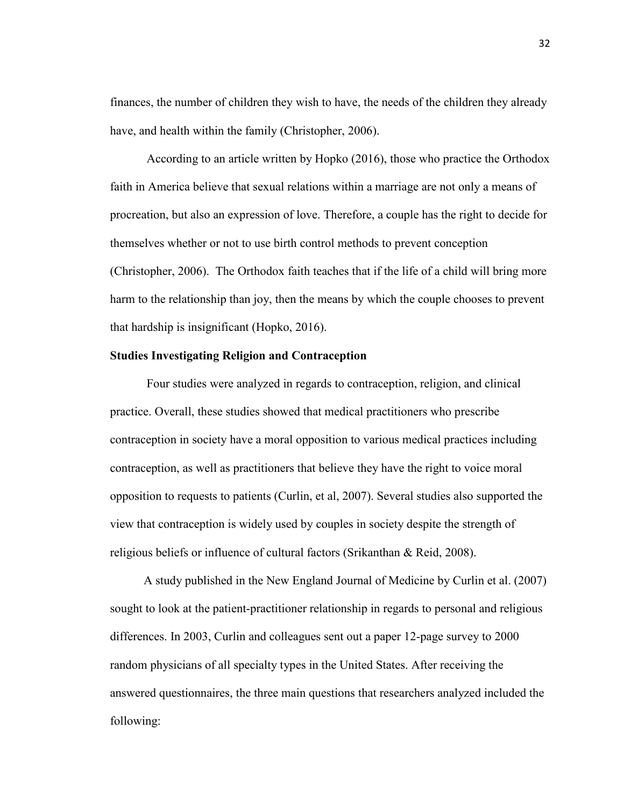finances, the number of children they wish to have, the needs of the children they already have, and health within the family (Christopher, 2006).

According to an article written by Hopko (2016), those who practice the Orthodox faith in America believe that sexual relations within a marriage are not only a means of procreation, but also an expression of love. Therefore, a couple has the right to decide for themselves whether or not to use birth control methods to prevent conception (Christopher, 2006). The Orthodox faith teaches that if the life of a child will bring more harm to the relationship than joy, then the means by which the couple chooses to prevent that hardship is insignificant (Hopko, 2016).

#### **Studies Investigating Religion and Contraception**

Four studies were analyzed in regards to contraception, religion, and clinical practice. Overall, these studies showed that medical practitioners who prescribe contraception in society have a moral opposition to various medical practices including contraception, as well as practitioners that believe they have the right to voice moral opposition to requests to patients (Curlin, et al, 2007). Several studies also supported the view that contraception is widely used by couples in society despite the strength of religious beliefs or influence of cultural factors (Srikanthan & Reid, 2008).

 A study published in the New England Journal of Medicine by Curlin et al. (2007) sought to look at the patient-practitioner relationship in regards to personal and religious differences. In 2003, Curlin and colleagues sent out a paper 12-page survey to 2000 random physicians of all specialty types in the United States. After receiving the answered questionnaires, the three main questions that researchers analyzed included the following: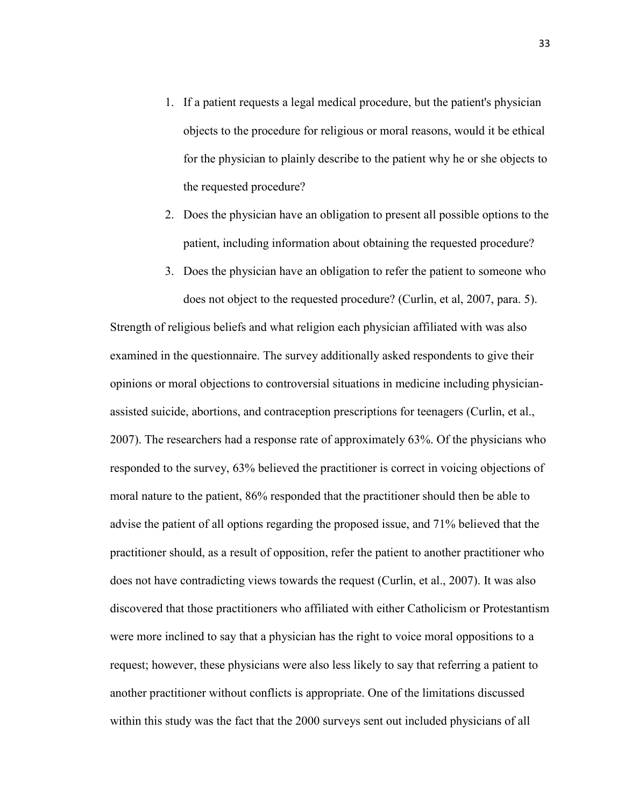- 1. If a patient requests a legal medical procedure, but the patient's physician objects to the procedure for religious or moral reasons, would it be ethical for the physician to plainly describe to the patient why he or she objects to the requested procedure?
- 2. Does the physician have an obligation to present all possible options to the patient, including information about obtaining the requested procedure?
- 3. Does the physician have an obligation to refer the patient to someone who does not object to the requested procedure? (Curlin, et al, 2007, para. 5).

Strength of religious beliefs and what religion each physician affiliated with was also examined in the questionnaire. The survey additionally asked respondents to give their opinions or moral objections to controversial situations in medicine including physicianassisted suicide, abortions, and contraception prescriptions for teenagers (Curlin, et al., 2007). The researchers had a response rate of approximately 63%. Of the physicians who responded to the survey, 63% believed the practitioner is correct in voicing objections of moral nature to the patient, 86% responded that the practitioner should then be able to advise the patient of all options regarding the proposed issue, and 71% believed that the practitioner should, as a result of opposition, refer the patient to another practitioner who does not have contradicting views towards the request (Curlin, et al., 2007). It was also discovered that those practitioners who affiliated with either Catholicism or Protestantism were more inclined to say that a physician has the right to voice moral oppositions to a request; however, these physicians were also less likely to say that referring a patient to another practitioner without conflicts is appropriate. One of the limitations discussed within this study was the fact that the 2000 surveys sent out included physicians of all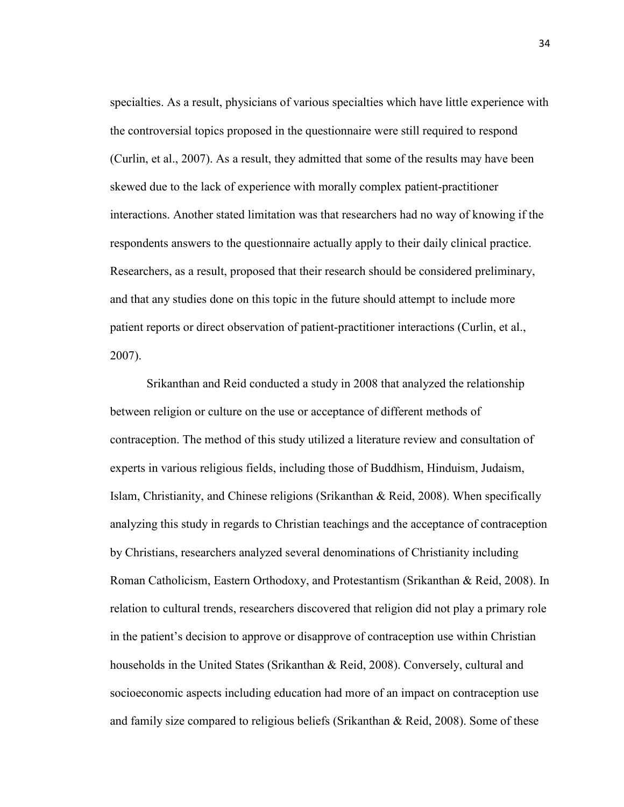specialties. As a result, physicians of various specialties which have little experience with the controversial topics proposed in the questionnaire were still required to respond (Curlin, et al., 2007). As a result, they admitted that some of the results may have been skewed due to the lack of experience with morally complex patient-practitioner interactions. Another stated limitation was that researchers had no way of knowing if the respondents answers to the questionnaire actually apply to their daily clinical practice. Researchers, as a result, proposed that their research should be considered preliminary, and that any studies done on this topic in the future should attempt to include more patient reports or direct observation of patient-practitioner interactions (Curlin, et al., 2007).

Srikanthan and Reid conducted a study in 2008 that analyzed the relationship between religion or culture on the use or acceptance of different methods of contraception. The method of this study utilized a literature review and consultation of experts in various religious fields, including those of Buddhism, Hinduism, Judaism, Islam, Christianity, and Chinese religions (Srikanthan & Reid, 2008). When specifically analyzing this study in regards to Christian teachings and the acceptance of contraception by Christians, researchers analyzed several denominations of Christianity including Roman Catholicism, Eastern Orthodoxy, and Protestantism (Srikanthan & Reid, 2008). In relation to cultural trends, researchers discovered that religion did not play a primary role in the patient's decision to approve or disapprove of contraception use within Christian households in the United States (Srikanthan & Reid, 2008). Conversely, cultural and socioeconomic aspects including education had more of an impact on contraception use and family size compared to religious beliefs (Srikanthan & Reid, 2008). Some of these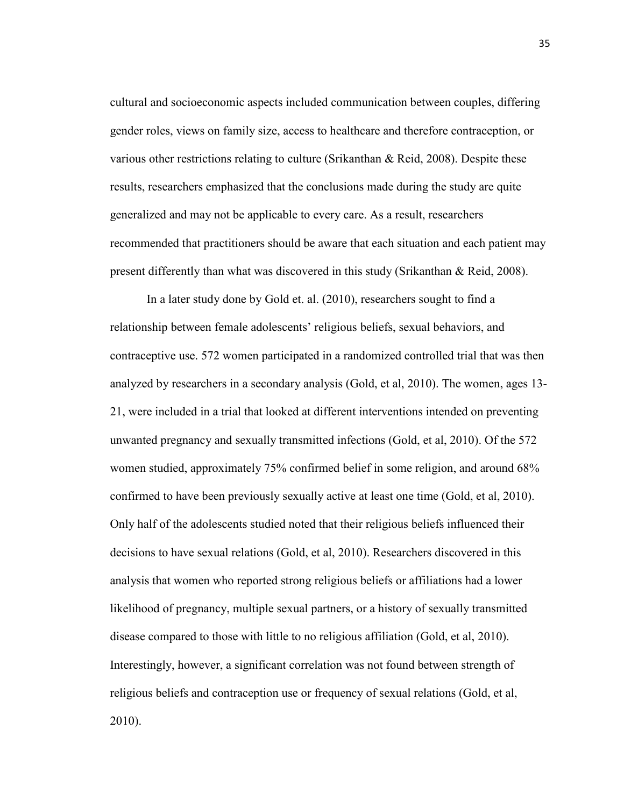cultural and socioeconomic aspects included communication between couples, differing gender roles, views on family size, access to healthcare and therefore contraception, or various other restrictions relating to culture (Srikanthan & Reid, 2008). Despite these results, researchers emphasized that the conclusions made during the study are quite generalized and may not be applicable to every care. As a result, researchers recommended that practitioners should be aware that each situation and each patient may present differently than what was discovered in this study (Srikanthan & Reid, 2008).

In a later study done by Gold et. al. (2010), researchers sought to find a relationship between female adolescents' religious beliefs, sexual behaviors, and contraceptive use. 572 women participated in a randomized controlled trial that was then analyzed by researchers in a secondary analysis (Gold, et al, 2010). The women, ages 13- 21, were included in a trial that looked at different interventions intended on preventing unwanted pregnancy and sexually transmitted infections (Gold, et al, 2010). Of the 572 women studied, approximately 75% confirmed belief in some religion, and around 68% confirmed to have been previously sexually active at least one time (Gold, et al, 2010). Only half of the adolescents studied noted that their religious beliefs influenced their decisions to have sexual relations (Gold, et al, 2010). Researchers discovered in this analysis that women who reported strong religious beliefs or affiliations had a lower likelihood of pregnancy, multiple sexual partners, or a history of sexually transmitted disease compared to those with little to no religious affiliation (Gold, et al, 2010). Interestingly, however, a significant correlation was not found between strength of religious beliefs and contraception use or frequency of sexual relations (Gold, et al, 2010).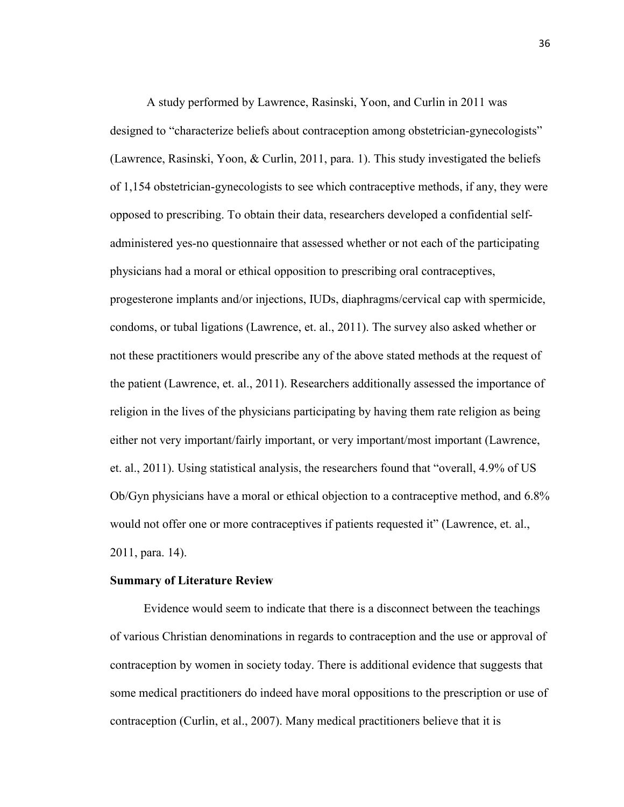A study performed by Lawrence, Rasinski, Yoon, and Curlin in 2011 was designed to "characterize beliefs about contraception among obstetrician-gynecologists" (Lawrence, Rasinski, Yoon, & Curlin, 2011, para. 1). This study investigated the beliefs of 1,154 obstetrician-gynecologists to see which contraceptive methods, if any, they were opposed to prescribing. To obtain their data, researchers developed a confidential selfadministered yes-no questionnaire that assessed whether or not each of the participating physicians had a moral or ethical opposition to prescribing oral contraceptives, progesterone implants and/or injections, IUDs, diaphragms/cervical cap with spermicide, condoms, or tubal ligations (Lawrence, et. al., 2011). The survey also asked whether or not these practitioners would prescribe any of the above stated methods at the request of the patient (Lawrence, et. al., 2011). Researchers additionally assessed the importance of religion in the lives of the physicians participating by having them rate religion as being either not very important/fairly important, or very important/most important (Lawrence, et. al., 2011). Using statistical analysis, the researchers found that "overall, 4.9% of US Ob/Gyn physicians have a moral or ethical objection to a contraceptive method, and 6.8% would not offer one or more contraceptives if patients requested it" (Lawrence, et. al., 2011, para. 14).

#### **Summary of Literature Review**

Evidence would seem to indicate that there is a disconnect between the teachings of various Christian denominations in regards to contraception and the use or approval of contraception by women in society today. There is additional evidence that suggests that some medical practitioners do indeed have moral oppositions to the prescription or use of contraception (Curlin, et al., 2007). Many medical practitioners believe that it is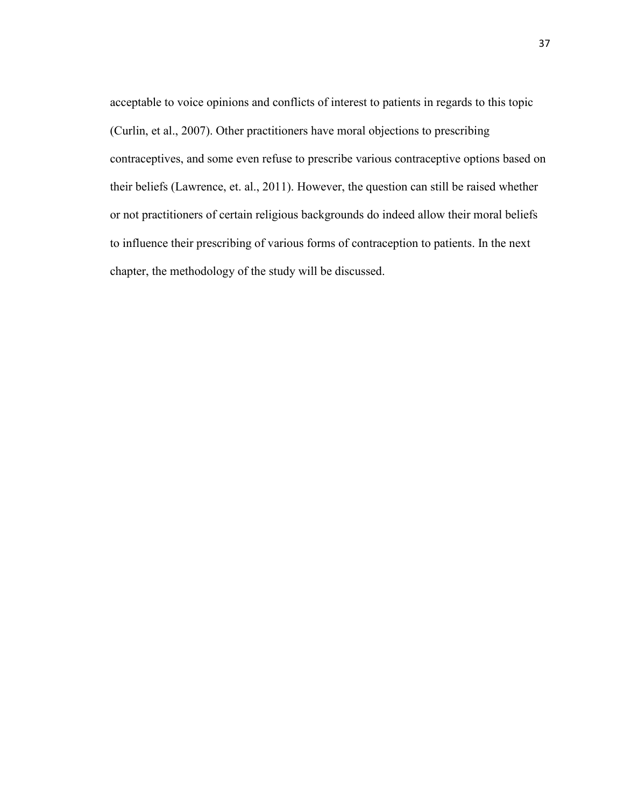acceptable to voice opinions and conflicts of interest to patients in regards to this topic (Curlin, et al., 2007). Other practitioners have moral objections to prescribing contraceptives, and some even refuse to prescribe various contraceptive options based on their beliefs (Lawrence, et. al., 2011). However, the question can still be raised whether or not practitioners of certain religious backgrounds do indeed allow their moral beliefs to influence their prescribing of various forms of contraception to patients. In the next chapter, the methodology of the study will be discussed.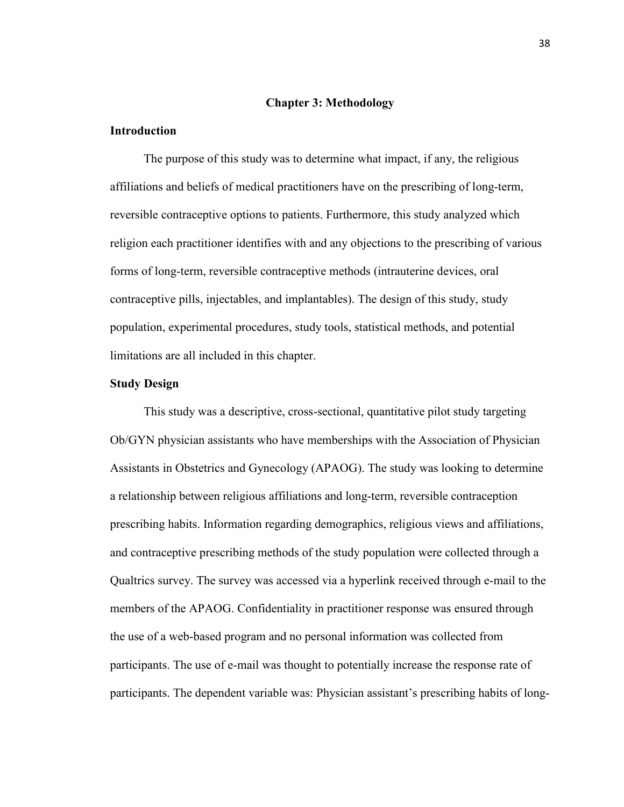## **Chapter 3: Methodology**

## **Introduction**

 The purpose of this study was to determine what impact, if any, the religious affiliations and beliefs of medical practitioners have on the prescribing of long-term, reversible contraceptive options to patients. Furthermore, this study analyzed which religion each practitioner identifies with and any objections to the prescribing of various forms of long-term, reversible contraceptive methods (intrauterine devices, oral contraceptive pills, injectables, and implantables). The design of this study, study population, experimental procedures, study tools, statistical methods, and potential limitations are all included in this chapter.

#### **Study Design**

 This study was a descriptive, cross-sectional, quantitative pilot study targeting Ob/GYN physician assistants who have memberships with the Association of Physician Assistants in Obstetrics and Gynecology (APAOG). The study was looking to determine a relationship between religious affiliations and long-term, reversible contraception prescribing habits. Information regarding demographics, religious views and affiliations, and contraceptive prescribing methods of the study population were collected through a Qualtrics survey. The survey was accessed via a hyperlink received through e-mail to the members of the APAOG. Confidentiality in practitioner response was ensured through the use of a web-based program and no personal information was collected from participants. The use of e-mail was thought to potentially increase the response rate of participants. The dependent variable was: Physician assistant's prescribing habits of long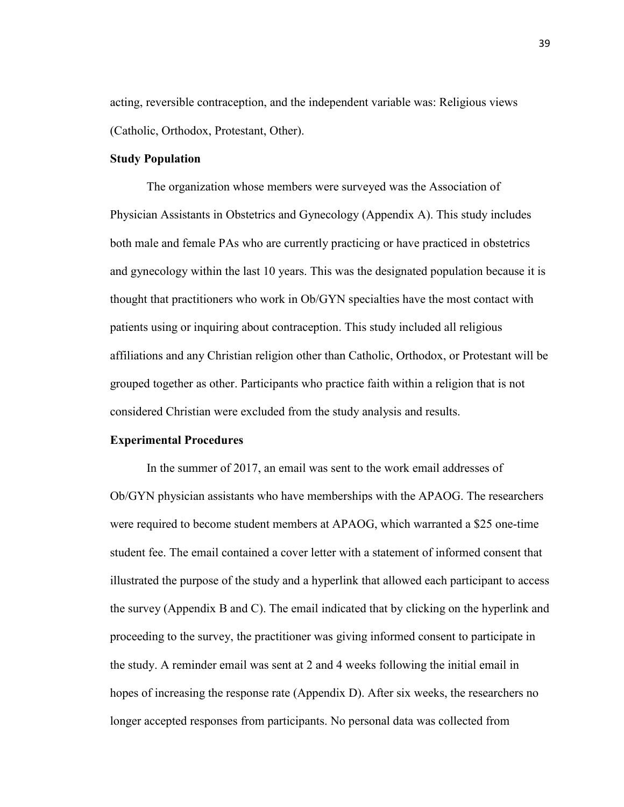acting, reversible contraception, and the independent variable was: Religious views (Catholic, Orthodox, Protestant, Other).

## **Study Population**

The organization whose members were surveyed was the Association of Physician Assistants in Obstetrics and Gynecology (Appendix A). This study includes both male and female PAs who are currently practicing or have practiced in obstetrics and gynecology within the last 10 years. This was the designated population because it is thought that practitioners who work in Ob/GYN specialties have the most contact with patients using or inquiring about contraception. This study included all religious affiliations and any Christian religion other than Catholic, Orthodox, or Protestant will be grouped together as other. Participants who practice faith within a religion that is not considered Christian were excluded from the study analysis and results.

## **Experimental Procedures**

In the summer of 2017, an email was sent to the work email addresses of Ob/GYN physician assistants who have memberships with the APAOG. The researchers were required to become student members at APAOG, which warranted a \$25 one-time student fee. The email contained a cover letter with a statement of informed consent that illustrated the purpose of the study and a hyperlink that allowed each participant to access the survey (Appendix B and C). The email indicated that by clicking on the hyperlink and proceeding to the survey, the practitioner was giving informed consent to participate in the study. A reminder email was sent at 2 and 4 weeks following the initial email in hopes of increasing the response rate (Appendix D). After six weeks, the researchers no longer accepted responses from participants. No personal data was collected from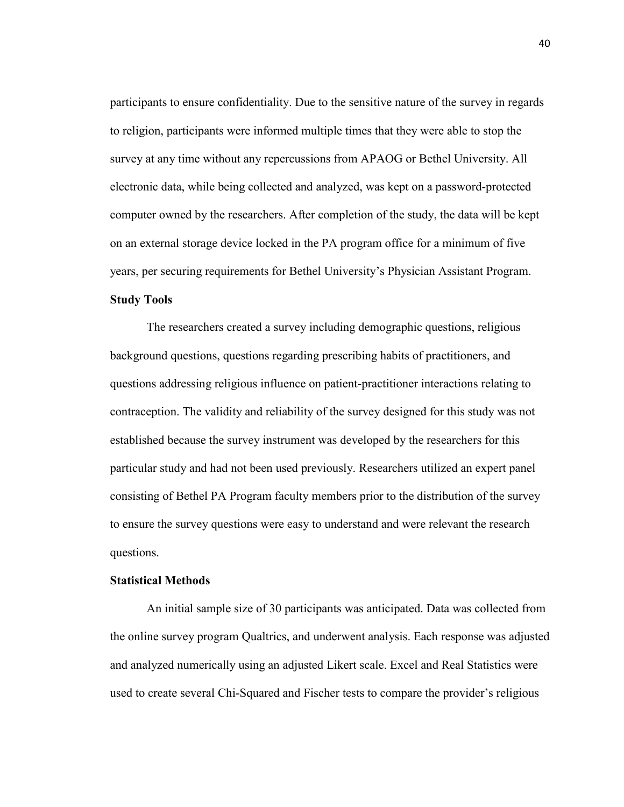participants to ensure confidentiality. Due to the sensitive nature of the survey in regards to religion, participants were informed multiple times that they were able to stop the survey at any time without any repercussions from APAOG or Bethel University. All electronic data, while being collected and analyzed, was kept on a password-protected computer owned by the researchers. After completion of the study, the data will be kept on an external storage device locked in the PA program office for a minimum of five years, per securing requirements for Bethel University's Physician Assistant Program.

## **Study Tools**

The researchers created a survey including demographic questions, religious background questions, questions regarding prescribing habits of practitioners, and questions addressing religious influence on patient-practitioner interactions relating to contraception. The validity and reliability of the survey designed for this study was not established because the survey instrument was developed by the researchers for this particular study and had not been used previously. Researchers utilized an expert panel consisting of Bethel PA Program faculty members prior to the distribution of the survey to ensure the survey questions were easy to understand and were relevant the research questions.

## **Statistical Methods**

An initial sample size of 30 participants was anticipated. Data was collected from the online survey program Qualtrics, and underwent analysis. Each response was adjusted and analyzed numerically using an adjusted Likert scale. Excel and Real Statistics were used to create several Chi-Squared and Fischer tests to compare the provider's religious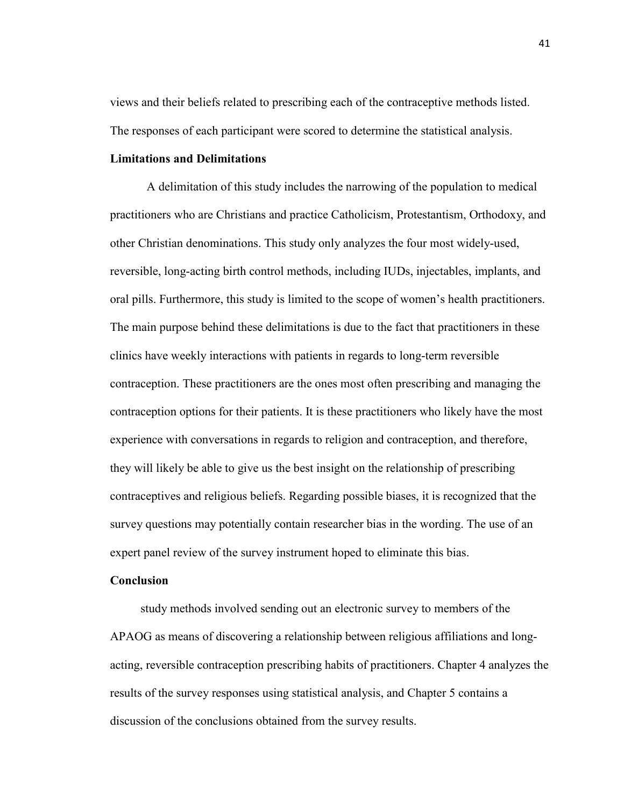views and their beliefs related to prescribing each of the contraceptive methods listed. The responses of each participant were scored to determine the statistical analysis.

## **Limitations and Delimitations**

A delimitation of this study includes the narrowing of the population to medical practitioners who are Christians and practice Catholicism, Protestantism, Orthodoxy, and other Christian denominations. This study only analyzes the four most widely-used, reversible, long-acting birth control methods, including IUDs, injectables, implants, and oral pills. Furthermore, this study is limited to the scope of women's health practitioners. The main purpose behind these delimitations is due to the fact that practitioners in these clinics have weekly interactions with patients in regards to long-term reversible contraception. These practitioners are the ones most often prescribing and managing the contraception options for their patients. It is these practitioners who likely have the most experience with conversations in regards to religion and contraception, and therefore, they will likely be able to give us the best insight on the relationship of prescribing contraceptives and religious beliefs. Regarding possible biases, it is recognized that the survey questions may potentially contain researcher bias in the wording. The use of an expert panel review of the survey instrument hoped to eliminate this bias.

#### **Conclusion**

 study methods involved sending out an electronic survey to members of the APAOG as means of discovering a relationship between religious affiliations and longacting, reversible contraception prescribing habits of practitioners. Chapter 4 analyzes the results of the survey responses using statistical analysis, and Chapter 5 contains a discussion of the conclusions obtained from the survey results.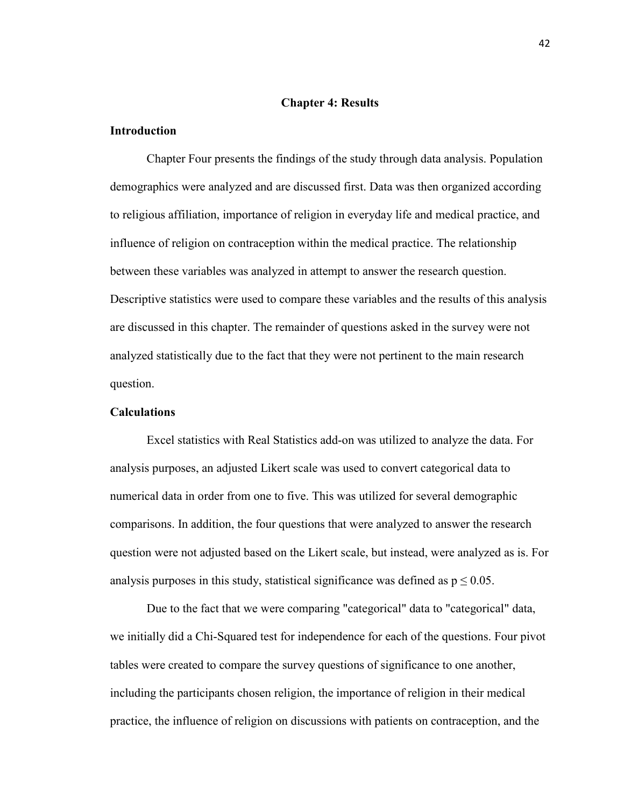## **Chapter 4: Results**

## **Introduction**

Chapter Four presents the findings of the study through data analysis. Population demographics were analyzed and are discussed first. Data was then organized according to religious affiliation, importance of religion in everyday life and medical practice, and influence of religion on contraception within the medical practice. The relationship between these variables was analyzed in attempt to answer the research question. Descriptive statistics were used to compare these variables and the results of this analysis are discussed in this chapter. The remainder of questions asked in the survey were not analyzed statistically due to the fact that they were not pertinent to the main research question.

## **Calculations**

Excel statistics with Real Statistics add-on was utilized to analyze the data. For analysis purposes, an adjusted Likert scale was used to convert categorical data to numerical data in order from one to five. This was utilized for several demographic comparisons. In addition, the four questions that were analyzed to answer the research question were not adjusted based on the Likert scale, but instead, were analyzed as is. For analysis purposes in this study, statistical significance was defined as  $p \le 0.05$ .

Due to the fact that we were comparing "categorical" data to "categorical" data, we initially did a Chi-Squared test for independence for each of the questions. Four pivot tables were created to compare the survey questions of significance to one another, including the participants chosen religion, the importance of religion in their medical practice, the influence of religion on discussions with patients on contraception, and the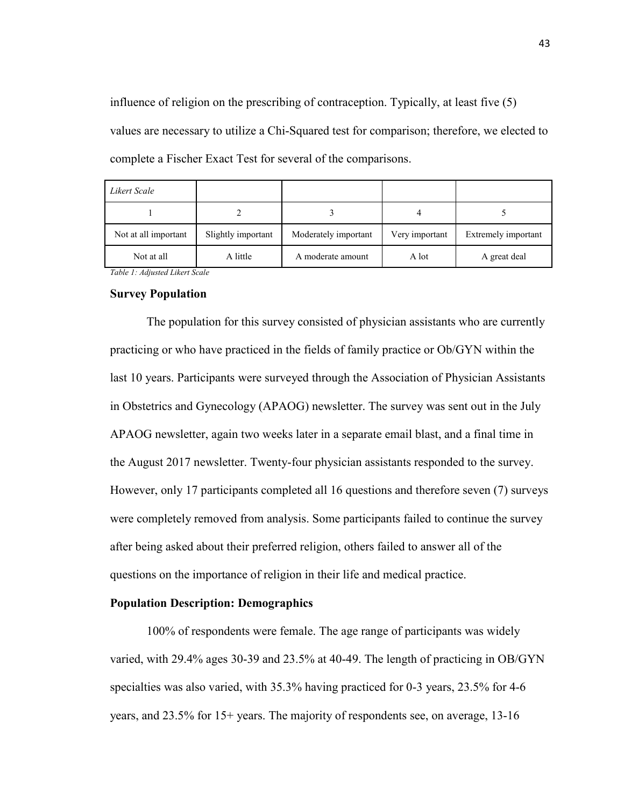influence of religion on the prescribing of contraception. Typically, at least five (5) values are necessary to utilize a Chi-Squared test for comparison; therefore, we elected to complete a Fischer Exact Test for several of the comparisons.

| Likert Scale         |                    |                      |                |                     |
|----------------------|--------------------|----------------------|----------------|---------------------|
|                      |                    |                      |                |                     |
| Not at all important | Slightly important | Moderately important | Very important | Extremely important |
| Not at all           | A little           | A moderate amount    | A lot          | A great deal        |

*Table 1: Adjusted Likert Scale*

#### **Survey Population**

The population for this survey consisted of physician assistants who are currently practicing or who have practiced in the fields of family practice or Ob/GYN within the last 10 years. Participants were surveyed through the Association of Physician Assistants in Obstetrics and Gynecology (APAOG) newsletter. The survey was sent out in the July APAOG newsletter, again two weeks later in a separate email blast, and a final time in the August 2017 newsletter. Twenty-four physician assistants responded to the survey. However, only 17 participants completed all 16 questions and therefore seven (7) surveys were completely removed from analysis. Some participants failed to continue the survey after being asked about their preferred religion, others failed to answer all of the questions on the importance of religion in their life and medical practice.

## **Population Description: Demographics**

100% of respondents were female. The age range of participants was widely varied, with 29.4% ages 30-39 and 23.5% at 40-49. The length of practicing in OB/GYN specialties was also varied, with 35.3% having practiced for 0-3 years, 23.5% for 4-6 years, and 23.5% for 15+ years. The majority of respondents see, on average, 13-16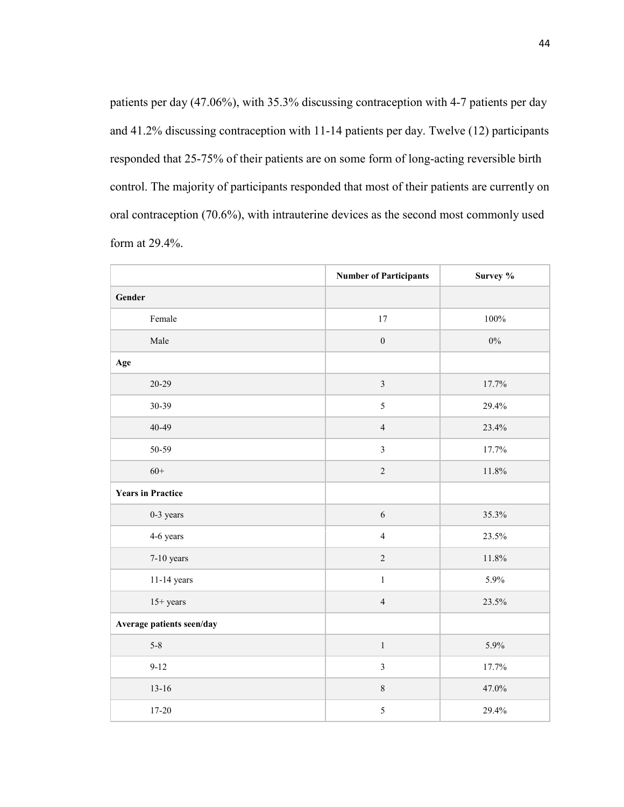patients per day (47.06%), with 35.3% discussing contraception with 4-7 patients per day and 41.2% discussing contraception with 11-14 patients per day. Twelve (12) participants responded that 25-75% of their patients are on some form of long-acting reversible birth control. The majority of participants responded that most of their patients are currently on oral contraception (70.6%), with intrauterine devices as the second most commonly used form at 29.4%.

|                           | <b>Number of Participants</b> | Survey % |
|---------------------------|-------------------------------|----------|
| Gender                    |                               |          |
| Female                    | 17                            | 100%     |
| Male                      | $\boldsymbol{0}$              | $0\%$    |
| Age                       |                               |          |
| $20 - 29$                 | $\mathfrak{Z}$                | 17.7%    |
| 30-39                     | 5                             | 29.4%    |
| 40-49                     | $\overline{4}$                | 23.4%    |
| 50-59                     | $\overline{3}$                | 17.7%    |
| $60+$                     | $\overline{c}$                | 11.8%    |
| <b>Years in Practice</b>  |                               |          |
| 0-3 years                 | 6                             | 35.3%    |
| 4-6 years                 | $\overline{4}$                | 23.5%    |
| 7-10 years                | $\overline{c}$                | 11.8%    |
| 11-14 years               | $\,1$                         | 5.9%     |
| $15+ years$               | $\overline{4}$                | 23.5%    |
| Average patients seen/day |                               |          |
| $5 - 8$                   | $\,1$                         | 5.9%     |
| $9-12$                    | $\overline{3}$                | 17.7%    |
| $13 - 16$                 | $8\,$                         | 47.0%    |
| $17 - 20$                 | 5                             | 29.4%    |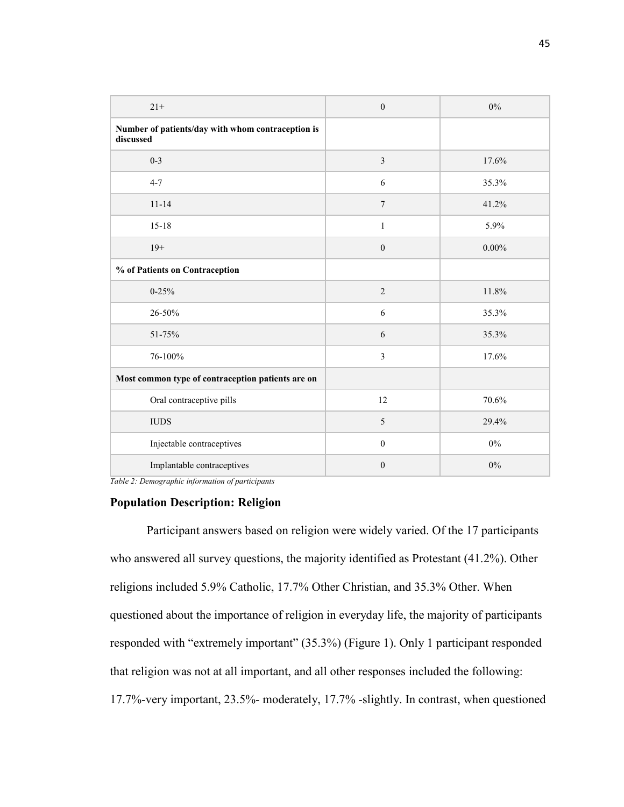| $21+$                                                          | $\boldsymbol{0}$ | $0\%$    |
|----------------------------------------------------------------|------------------|----------|
| Number of patients/day with whom contraception is<br>discussed |                  |          |
| $0 - 3$                                                        | $\mathfrak{Z}$   | 17.6%    |
| $4 - 7$                                                        | 6                | 35.3%    |
| $11 - 14$                                                      | $\overline{7}$   | 41.2%    |
| $15 - 18$                                                      | 1                | 5.9%     |
| $19+$                                                          | $\boldsymbol{0}$ | $0.00\%$ |
| % of Patients on Contraception                                 |                  |          |
| $0 - 25%$                                                      | $\sqrt{2}$       | 11.8%    |
| 26-50%                                                         | 6                | 35.3%    |
| 51-75%                                                         | 6                | 35.3%    |
| 76-100%                                                        | 3                | 17.6%    |
| Most common type of contraception patients are on              |                  |          |
| Oral contraceptive pills                                       | 12               | 70.6%    |
| <b>IUDS</b>                                                    | 5                | 29.4%    |
| Injectable contraceptives                                      | $\boldsymbol{0}$ | $0\%$    |
| Implantable contraceptives                                     | $\boldsymbol{0}$ | $0\%$    |

*Table 2: Demographic information of participants*

## **Population Description: Religion**

Participant answers based on religion were widely varied. Of the 17 participants who answered all survey questions, the majority identified as Protestant (41.2%). Other religions included 5.9% Catholic, 17.7% Other Christian, and 35.3% Other. When questioned about the importance of religion in everyday life, the majority of participants responded with "extremely important" (35.3%) (Figure 1). Only 1 participant responded that religion was not at all important, and all other responses included the following: 17.7%-very important, 23.5%- moderately, 17.7% -slightly. In contrast, when questioned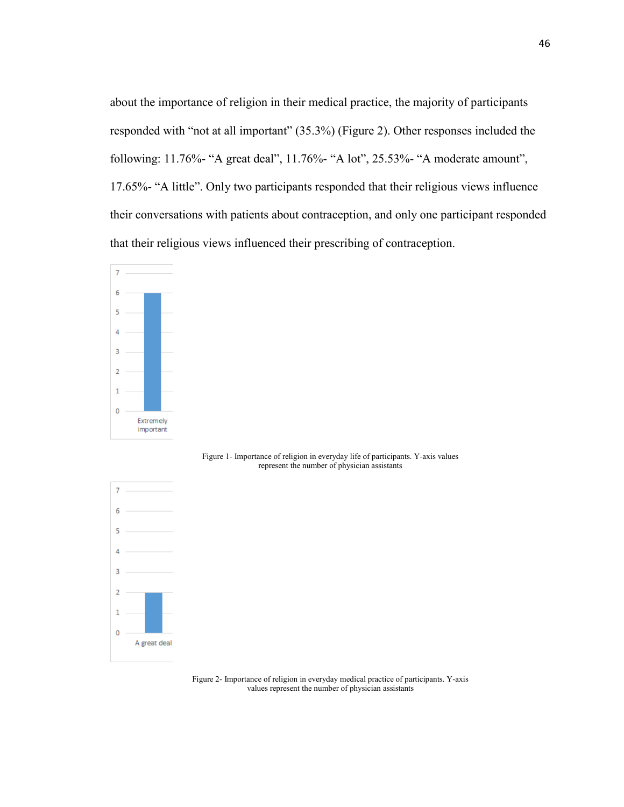about the importance of religion in their medical practice, the majority of participants responded with "not at all important" (35.3%) (Figure 2). Other responses included the following: 11.76%- "A great deal", 11.76%- "A lot", 25.53%- "A moderate amount", 17.65%- "A little". Only two participants responded that their religious views influence their conversations with patients about contraception, and only one participant responded that their religious views influenced their prescribing of contraception.



 $\overline{7}$ 

 $\overline{2}$ 1  $\mathbf 0$ 

A great deal

represent the number of physician assistants

Figure 2- Importance of religion in everyday medical practice of participants. Y-axis values represent the number of physician assistants

Figure 1- Importance of religion in everyday life of participants. Y-axis values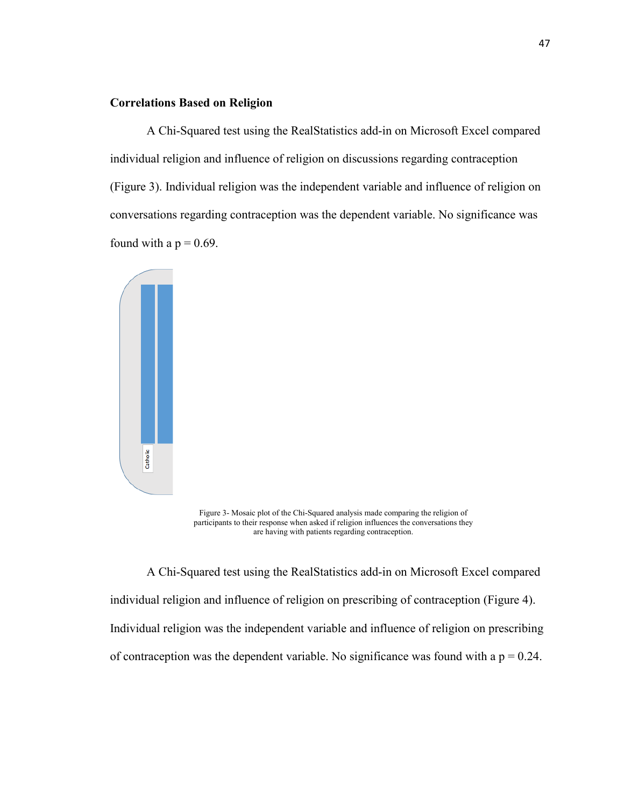## **Correlations Based on Religion**

A Chi-Squared test using the RealStatistics add-in on Microsoft Excel compared individual religion and influence of religion on discussions regarding contraception (Figure 3). Individual religion was the independent variable and influence of religion on conversations regarding contraception was the dependent variable. No significance was found with a  $p = 0.69$ .



Figure 3- Mosaic plot of the Chi-Squared analysis made comparing the religion of participants to their response when asked if religion influences the conversations they are having with patients regarding contraception.

A Chi-Squared test using the RealStatistics add-in on Microsoft Excel compared individual religion and influence of religion on prescribing of contraception (Figure 4). Individual religion was the independent variable and influence of religion on prescribing of contraception was the dependent variable. No significance was found with a  $p = 0.24$ .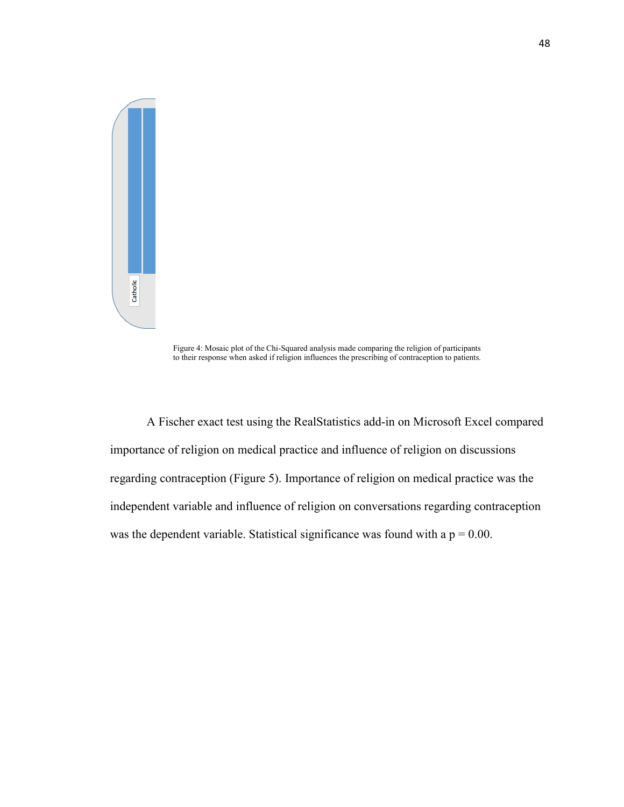

Figure 4: Mosaic plot of the Chi-Squared analysis made comparing the religion of participants to their response when asked if religion influences the prescribing of contraception to patients.

A Fischer exact test using the RealStatistics add-in on Microsoft Excel compared importance of religion on medical practice and influence of religion on discussions regarding contraception (Figure 5). Importance of religion on medical practice was the independent variable and influence of religion on conversations regarding contraception was the dependent variable. Statistical significance was found with a  $p = 0.00$ .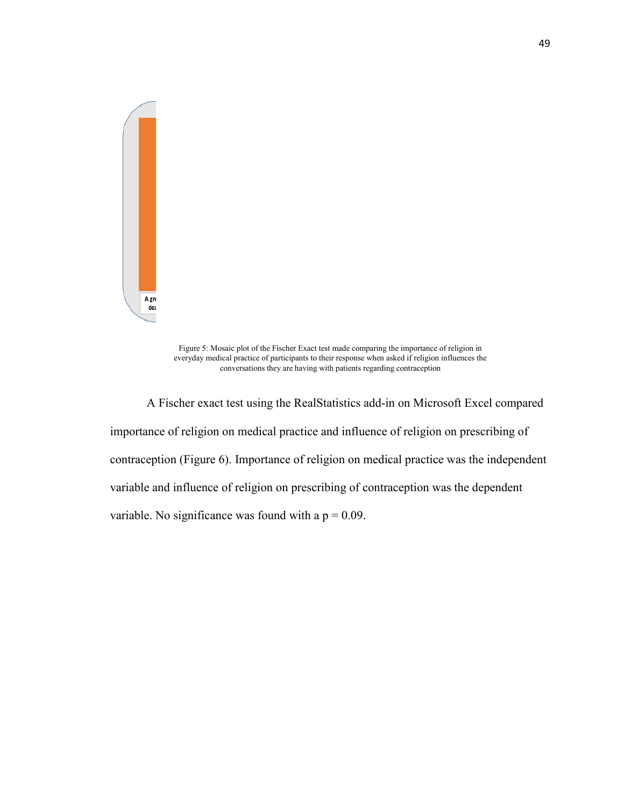

Figure 5: Mosaic plot of the Fischer Exact test made comparing the importance of religion in everyday medical practice of participants to their response when asked if religion influences the conversations they are having with patients regarding contraception

A Fischer exact test using the RealStatistics add-in on Microsoft Excel compared importance of religion on medical practice and influence of religion on prescribing of contraception (Figure 6). Importance of religion on medical practice was the independent variable and influence of religion on prescribing of contraception was the dependent variable. No significance was found with a  $p = 0.09$ .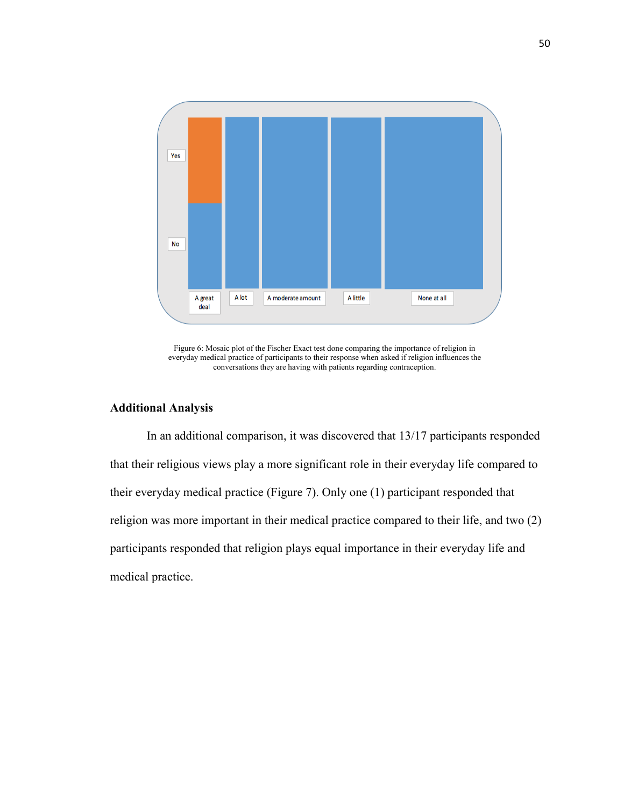

Figure 6: Mosaic plot of the Fischer Exact test done comparing the importance of religion in everyday medical practice of participants to their response when asked if religion influences the conversations they are having with patients regarding contraception.

## **Additional Analysis**

In an additional comparison, it was discovered that 13/17 participants responded that their religious views play a more significant role in their everyday life compared to their everyday medical practice (Figure 7). Only one (1) participant responded that religion was more important in their medical practice compared to their life, and two (2) participants responded that religion plays equal importance in their everyday life and medical practice.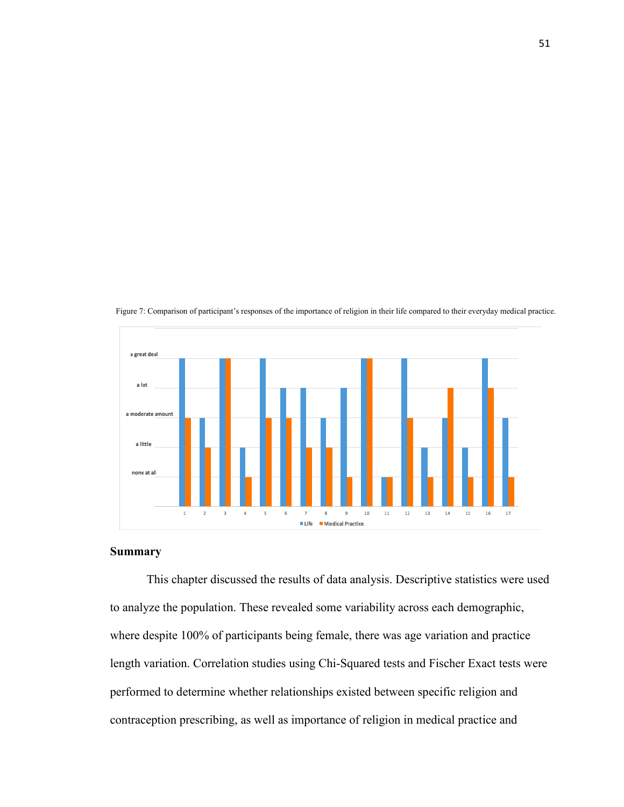

Figure 7: Comparison of participant's responses of the importance of religion in their life compared to their everyday medical practice.

## **Summary**

This chapter discussed the results of data analysis. Descriptive statistics were used to analyze the population. These revealed some variability across each demographic, where despite 100% of participants being female, there was age variation and practice length variation. Correlation studies using Chi-Squared tests and Fischer Exact tests were performed to determine whether relationships existed between specific religion and contraception prescribing, as well as importance of religion in medical practice and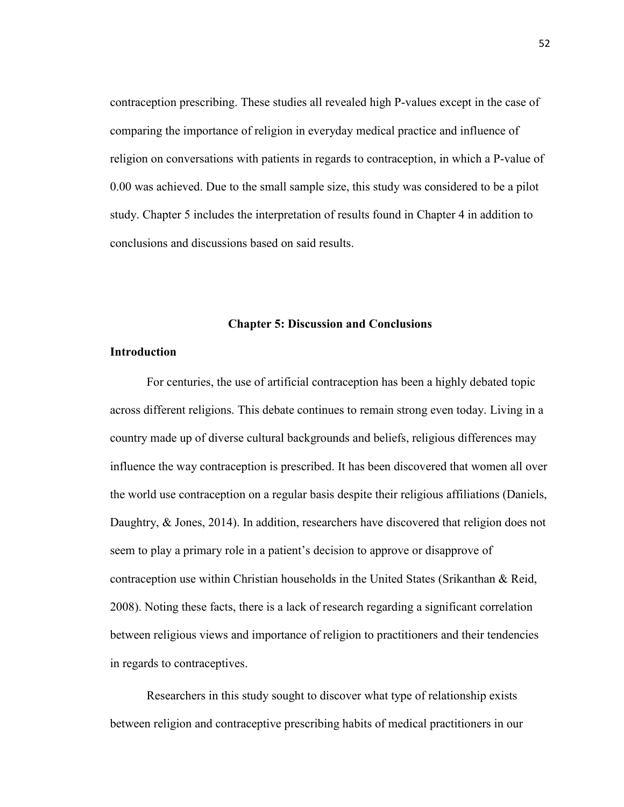contraception prescribing. These studies all revealed high P-values except in the case of comparing the importance of religion in everyday medical practice and influence of religion on conversations with patients in regards to contraception, in which a P-value of 0.00 was achieved. Due to the small sample size, this study was considered to be a pilot study. Chapter 5 includes the interpretation of results found in Chapter 4 in addition to conclusions and discussions based on said results.

#### **Chapter 5: Discussion and Conclusions**

## **Introduction**

For centuries, the use of artificial contraception has been a highly debated topic across different religions. This debate continues to remain strong even today. Living in a country made up of diverse cultural backgrounds and beliefs, religious differences may influence the way contraception is prescribed. It has been discovered that women all over the world use contraception on a regular basis despite their religious affiliations (Daniels, Daughtry, & Jones, 2014). In addition, researchers have discovered that religion does not seem to play a primary role in a patient's decision to approve or disapprove of contraception use within Christian households in the United States (Srikanthan & Reid, 2008). Noting these facts, there is a lack of research regarding a significant correlation between religious views and importance of religion to practitioners and their tendencies in regards to contraceptives.

Researchers in this study sought to discover what type of relationship exists between religion and contraceptive prescribing habits of medical practitioners in our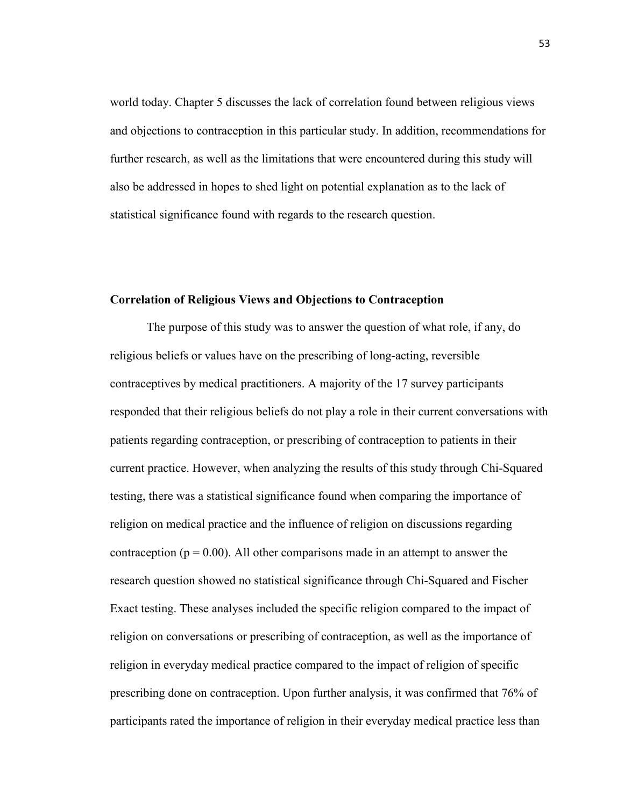world today. Chapter 5 discusses the lack of correlation found between religious views and objections to contraception in this particular study. In addition, recommendations for further research, as well as the limitations that were encountered during this study will also be addressed in hopes to shed light on potential explanation as to the lack of statistical significance found with regards to the research question.

## **Correlation of Religious Views and Objections to Contraception**

The purpose of this study was to answer the question of what role, if any, do religious beliefs or values have on the prescribing of long-acting, reversible contraceptives by medical practitioners. A majority of the 17 survey participants responded that their religious beliefs do not play a role in their current conversations with patients regarding contraception, or prescribing of contraception to patients in their current practice. However, when analyzing the results of this study through Chi-Squared testing, there was a statistical significance found when comparing the importance of religion on medical practice and the influence of religion on discussions regarding contraception ( $p = 0.00$ ). All other comparisons made in an attempt to answer the research question showed no statistical significance through Chi-Squared and Fischer Exact testing. These analyses included the specific religion compared to the impact of religion on conversations or prescribing of contraception, as well as the importance of religion in everyday medical practice compared to the impact of religion of specific prescribing done on contraception. Upon further analysis, it was confirmed that 76% of participants rated the importance of religion in their everyday medical practice less than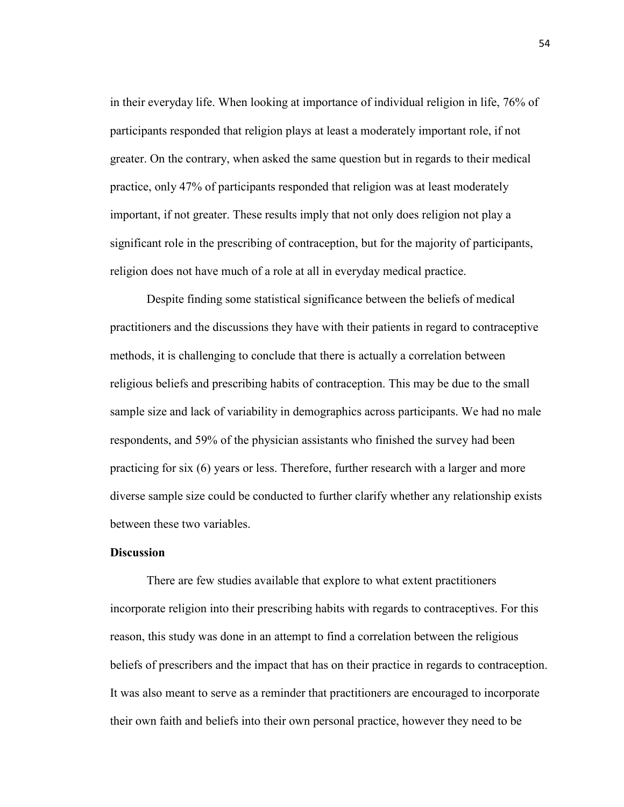in their everyday life. When looking at importance of individual religion in life, 76% of participants responded that religion plays at least a moderately important role, if not greater. On the contrary, when asked the same question but in regards to their medical practice, only 47% of participants responded that religion was at least moderately important, if not greater. These results imply that not only does religion not play a significant role in the prescribing of contraception, but for the majority of participants, religion does not have much of a role at all in everyday medical practice.

Despite finding some statistical significance between the beliefs of medical practitioners and the discussions they have with their patients in regard to contraceptive methods, it is challenging to conclude that there is actually a correlation between religious beliefs and prescribing habits of contraception. This may be due to the small sample size and lack of variability in demographics across participants. We had no male respondents, and 59% of the physician assistants who finished the survey had been practicing for six (6) years or less. Therefore, further research with a larger and more diverse sample size could be conducted to further clarify whether any relationship exists between these two variables.

## **Discussion**

There are few studies available that explore to what extent practitioners incorporate religion into their prescribing habits with regards to contraceptives. For this reason, this study was done in an attempt to find a correlation between the religious beliefs of prescribers and the impact that has on their practice in regards to contraception. It was also meant to serve as a reminder that practitioners are encouraged to incorporate their own faith and beliefs into their own personal practice, however they need to be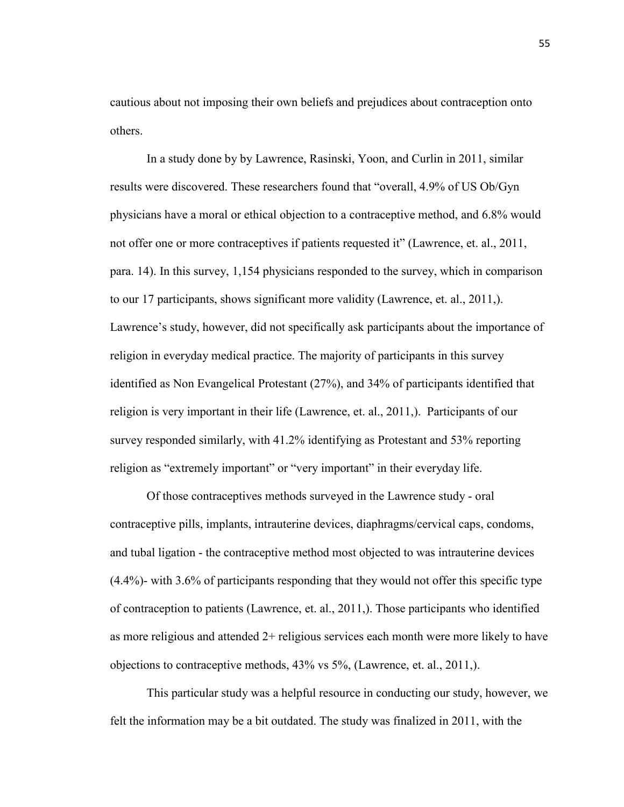cautious about not imposing their own beliefs and prejudices about contraception onto others.

In a study done by by Lawrence, Rasinski, Yoon, and Curlin in 2011, similar results were discovered. These researchers found that "overall, 4.9% of US Ob/Gyn physicians have a moral or ethical objection to a contraceptive method, and 6.8% would not offer one or more contraceptives if patients requested it" (Lawrence, et. al., 2011, para. 14). In this survey, 1,154 physicians responded to the survey, which in comparison to our 17 participants, shows significant more validity (Lawrence, et. al., 2011,). Lawrence's study, however, did not specifically ask participants about the importance of religion in everyday medical practice. The majority of participants in this survey identified as Non Evangelical Protestant (27%), and 34% of participants identified that religion is very important in their life (Lawrence, et. al., 2011,). Participants of our survey responded similarly, with 41.2% identifying as Protestant and 53% reporting religion as "extremely important" or "very important" in their everyday life.

Of those contraceptives methods surveyed in the Lawrence study - oral contraceptive pills, implants, intrauterine devices, diaphragms/cervical caps, condoms, and tubal ligation - the contraceptive method most objected to was intrauterine devices (4.4%)- with 3.6% of participants responding that they would not offer this specific type of contraception to patients (Lawrence, et. al., 2011,). Those participants who identified as more religious and attended 2+ religious services each month were more likely to have objections to contraceptive methods, 43% vs 5%, (Lawrence, et. al., 2011,).

This particular study was a helpful resource in conducting our study, however, we felt the information may be a bit outdated. The study was finalized in 2011, with the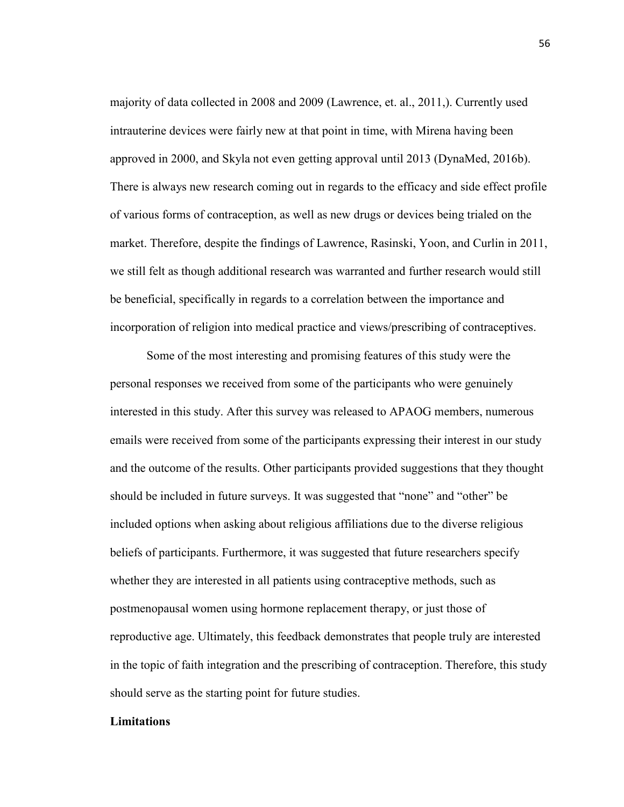majority of data collected in 2008 and 2009 (Lawrence, et. al., 2011,). Currently used intrauterine devices were fairly new at that point in time, with Mirena having been approved in 2000, and Skyla not even getting approval until 2013 (DynaMed, 2016b). There is always new research coming out in regards to the efficacy and side effect profile of various forms of contraception, as well as new drugs or devices being trialed on the market. Therefore, despite the findings of Lawrence, Rasinski, Yoon, and Curlin in 2011, we still felt as though additional research was warranted and further research would still be beneficial, specifically in regards to a correlation between the importance and incorporation of religion into medical practice and views/prescribing of contraceptives.

Some of the most interesting and promising features of this study were the personal responses we received from some of the participants who were genuinely interested in this study. After this survey was released to APAOG members, numerous emails were received from some of the participants expressing their interest in our study and the outcome of the results. Other participants provided suggestions that they thought should be included in future surveys. It was suggested that "none" and "other" be included options when asking about religious affiliations due to the diverse religious beliefs of participants. Furthermore, it was suggested that future researchers specify whether they are interested in all patients using contraceptive methods, such as postmenopausal women using hormone replacement therapy, or just those of reproductive age. Ultimately, this feedback demonstrates that people truly are interested in the topic of faith integration and the prescribing of contraception. Therefore, this study should serve as the starting point for future studies.

## **Limitations**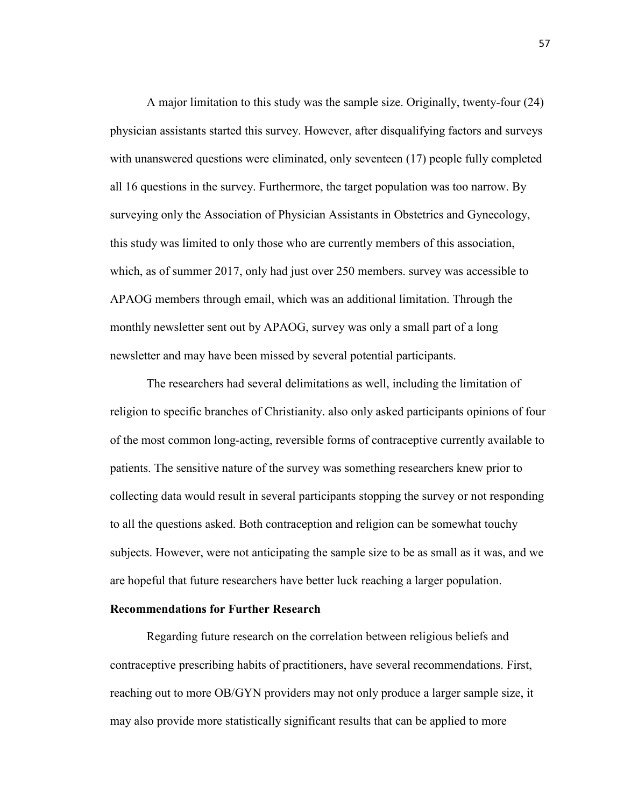A major limitation to this study was the sample size. Originally, twenty-four (24) physician assistants started this survey. However, after disqualifying factors and surveys with unanswered questions were eliminated, only seventeen (17) people fully completed all 16 questions in the survey. Furthermore, the target population was too narrow. By surveying only the Association of Physician Assistants in Obstetrics and Gynecology, this study was limited to only those who are currently members of this association, which, as of summer 2017, only had just over 250 members. survey was accessible to APAOG members through email, which was an additional limitation. Through the monthly newsletter sent out by APAOG, survey was only a small part of a long newsletter and may have been missed by several potential participants.

The researchers had several delimitations as well, including the limitation of religion to specific branches of Christianity. also only asked participants opinions of four of the most common long-acting, reversible forms of contraceptive currently available to patients. The sensitive nature of the survey was something researchers knew prior to collecting data would result in several participants stopping the survey or not responding to all the questions asked. Both contraception and religion can be somewhat touchy subjects. However, were not anticipating the sample size to be as small as it was, and we are hopeful that future researchers have better luck reaching a larger population.

#### **Recommendations for Further Research**

Regarding future research on the correlation between religious beliefs and contraceptive prescribing habits of practitioners, have several recommendations. First, reaching out to more OB/GYN providers may not only produce a larger sample size, it may also provide more statistically significant results that can be applied to more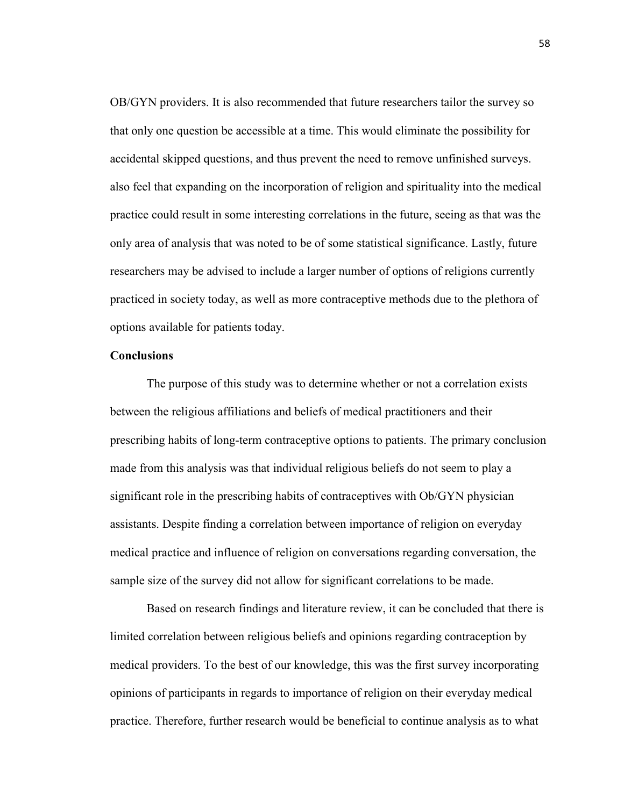OB/GYN providers. It is also recommended that future researchers tailor the survey so that only one question be accessible at a time. This would eliminate the possibility for accidental skipped questions, and thus prevent the need to remove unfinished surveys. also feel that expanding on the incorporation of religion and spirituality into the medical practice could result in some interesting correlations in the future, seeing as that was the only area of analysis that was noted to be of some statistical significance. Lastly, future researchers may be advised to include a larger number of options of religions currently practiced in society today, as well as more contraceptive methods due to the plethora of options available for patients today.

## **Conclusions**

The purpose of this study was to determine whether or not a correlation exists between the religious affiliations and beliefs of medical practitioners and their prescribing habits of long-term contraceptive options to patients. The primary conclusion made from this analysis was that individual religious beliefs do not seem to play a significant role in the prescribing habits of contraceptives with Ob/GYN physician assistants. Despite finding a correlation between importance of religion on everyday medical practice and influence of religion on conversations regarding conversation, the sample size of the survey did not allow for significant correlations to be made.

Based on research findings and literature review, it can be concluded that there is limited correlation between religious beliefs and opinions regarding contraception by medical providers. To the best of our knowledge, this was the first survey incorporating opinions of participants in regards to importance of religion on their everyday medical practice. Therefore, further research would be beneficial to continue analysis as to what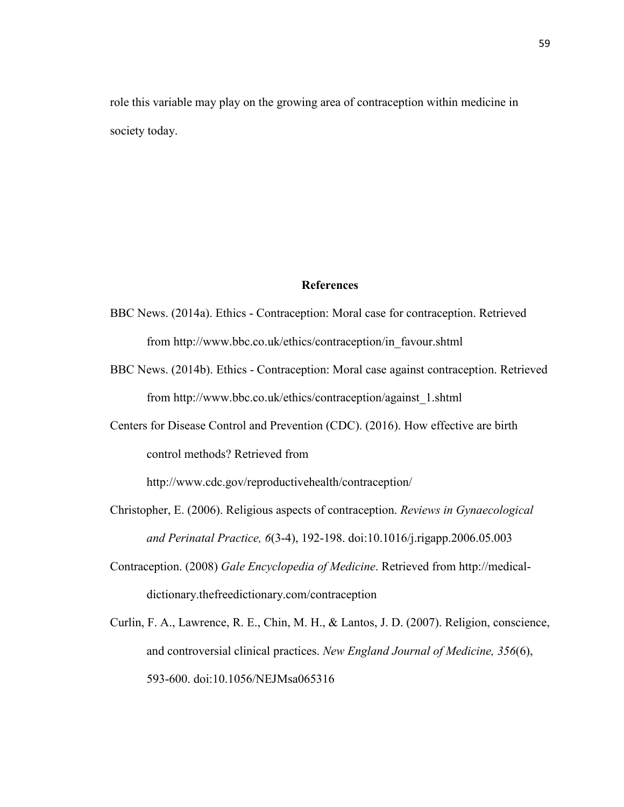role this variable may play on the growing area of contraception within medicine in society today.

## **References**

- BBC News. (2014a). Ethics Contraception: Moral case for contraception. Retrieved fro[m http://www.bbc.co.uk/ethics/contraception/in\\_favour.shtml](http://www.bbc.co.uk/ethics/contraception/in_favour.shtml)
- BBC News. (2014b). Ethics Contraception: Moral case against contraception. Retrieved fro[m http://www.bbc.co.uk/ethics/contraception/against\\_1.shtml](http://www.bbc.co.uk/ethics/contraception/against_1.shtml)
- Centers for Disease Control and Prevention (CDC). (2016). How effective are birth control methods? Retrieved fro[m](http://www.cdc.gov/reproductivehealth/contraception/)

<http://www.cdc.gov/reproductivehealth/contraception/>

- Christopher, E. (2006). Religious aspects of contraception. *Reviews in Gynaecological and Perinatal Practice, 6*(3-4), 192-198. doi:10.1016/j.rigapp.2006.05.003
- Contraception. (2008) *Gale Encyclopedia of Medicine*. Retrieved from [http://medical](http://medical-dictionary.thefreedictionary.com/contraception)[dictionary.thefreedictionary.com/contraception](http://medical-dictionary.thefreedictionary.com/contraception)
- Curlin, F. A., Lawrence, R. E., Chin, M. H., & Lantos, J. D. (2007). Religion, conscience, and controversial clinical practices. *New England Journal of Medicine, 356*(6), 593-600. doi:10.1056/NEJMsa065316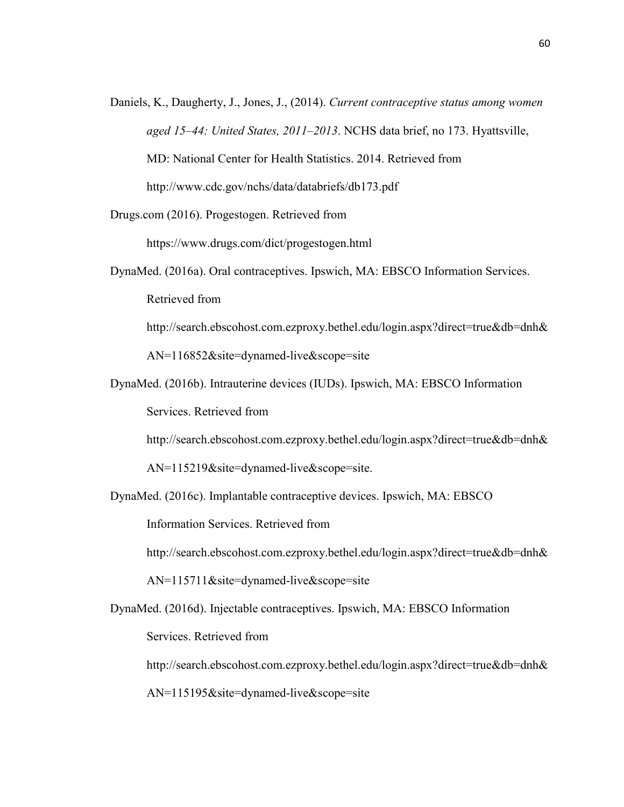Daniels, K., Daugherty, J., Jones, J., (2014). *Current contraceptive status among women aged 15–44: United States, 2011–2013*. NCHS data brief, no 173. Hyattsville, MD: National Center for Health Statistics. 2014. Retrieved fro[m](http://www.cdc.gov/nchs/data/databriefs/db173.pdf) <http://www.cdc.gov/nchs/data/databriefs/db173.pdf>

Drugs.com (2016). Progestogen. Retrieved from

<https://www.drugs.com/dict/progestogen.html>

DynaMed. (2016a). Oral contraceptives. Ipswich, MA: EBSCO Information Services. Retrieved from

[http://search.ebscohost.com.ezproxy.bethel.edu/login.aspx?direct=true&db=dnh&](http://search.ebscohost.com.ezproxy.bethel.edu/login.aspx?direct=true&db=dnh&AN=116852&site=dynamed-live&scope=site)

[AN=116852&site=dynamed-live&scope=site](http://search.ebscohost.com.ezproxy.bethel.edu/login.aspx?direct=true&db=dnh&AN=116852&site=dynamed-live&scope=site)

DynaMed. (2016b). Intrauterine devices (IUDs). Ipswich, MA: EBSCO Information

Services. Retrieved from

[http://search.ebscohost.com.ezproxy.bethel.edu/login.aspx?direct=true&db=dnh&](http://search.ebscohost.com.ezproxy.bethel.edu/login.aspx?direct=true&db=dnh&AN=115219&site=dynamed-live&scope=site)

[AN=115219&site=dynamed-live&scope=site.](http://search.ebscohost.com.ezproxy.bethel.edu/login.aspx?direct=true&db=dnh&AN=115219&site=dynamed-live&scope=site)

DynaMed. (2016c). Implantable contraceptive devices. Ipswich, MA: EBSCO

Information Services. Retrieved from

[http://search.ebscohost.com.ezproxy.bethel.edu/login.aspx?direct=true&db=dnh&](http://search.ebscohost.com.ezproxy.bethel.edu/login.aspx?direct=true&db=dnh&AN=115711&site=dynamed-live&scope=site)

[AN=115711&site=dynamed-live&scope=site](http://search.ebscohost.com.ezproxy.bethel.edu/login.aspx?direct=true&db=dnh&AN=115711&site=dynamed-live&scope=site)

DynaMed. (2016d). Injectable contraceptives. Ipswich, MA: EBSCO Information

Services. Retrieved from

[http://search.ebscohost.com.ezproxy.bethel.edu/login.aspx?direct=true&db=dnh&](http://search.ebscohost.com.ezproxy.bethel.edu/login.aspx?direct=true&db=dnh&AN=115195&site=dynamed-live&scope=site)

[AN=115195&site=dynamed-live&scope=site](http://search.ebscohost.com.ezproxy.bethel.edu/login.aspx?direct=true&db=dnh&AN=115195&site=dynamed-live&scope=site)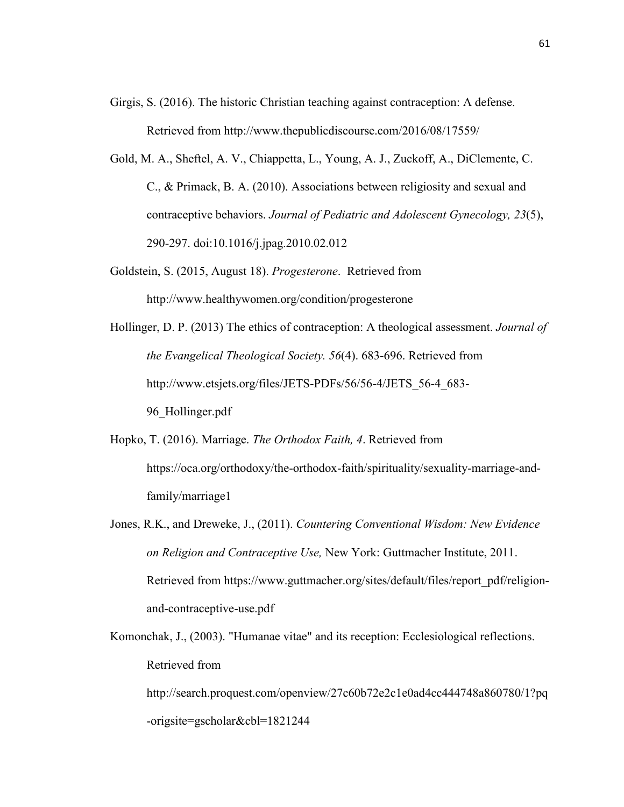- Girgis, S. (2016). The historic Christian teaching against contraception: A defense. Retrieved fro[m http://www.thepublicdiscourse.com/2016/08/17559/](http://www.thepublicdiscourse.com/2016/08/17559/)
- Gold, M. A., Sheftel, A. V., Chiappetta, L., Young, A. J., Zuckoff, A., DiClemente, C. C., & Primack, B. A. (2010). Associations between religiosity and sexual and contraceptive behaviors. *Journal of Pediatric and Adolescent Gynecology, 23*(5), 290-297. doi:10.1016/j.jpag.2010.02.012
- Goldstein, S. (2015, August 18). *Progesterone*. Retrieved from http://www.healthywomen.org/condition/progesterone
- Hollinger, D. P. (2013) The ethics of contraception: A theological assessment. *Journal of the Evangelical Theological Society. 56*(4). 683-696. Retrieved from [http://www.etsjets.org/files/JETS-PDFs/56/56-4/JETS\\_56-4\\_683-](http://www.etsjets.org/files/JETS-PDFs/56/56-4/JETS_56-4_683-96_Hollinger.pdf) [96\\_Hollinger.pdf](http://www.etsjets.org/files/JETS-PDFs/56/56-4/JETS_56-4_683-96_Hollinger.pdf)
- Hopko, T. (2016). Marriage. *The Orthodox Faith, 4*. Retrieved fro[m](https://oca.org/orthodoxy/the-orthodox-faith/spirituality/sexuality-marriage-and-family/marriage1) [https://oca.org/orthodoxy/the-orthodox-faith/spirituality/sexuality-marriage-and](https://oca.org/orthodoxy/the-orthodox-faith/spirituality/sexuality-marriage-and-family/marriage1)[family/marriage1](https://oca.org/orthodoxy/the-orthodox-faith/spirituality/sexuality-marriage-and-family/marriage1)
- Jones, R.K., and Dreweke, J., (2011). *Countering Conventional Wisdom: New Evidence on Religion and Contraceptive Use,* New York: Guttmacher Institute, 2011. Retrieved from [https://www.guttmacher.org/sites/default/files/report\\_pdf/religion](https://www.guttmacher.org/sites/default/files/report_pdf/religion-and-contraceptive-use.pdf)[and-contraceptive-use.pdf](https://www.guttmacher.org/sites/default/files/report_pdf/religion-and-contraceptive-use.pdf)
- Komonchak, J., (2003). "Humanae vitae" and its reception: Ecclesiological reflections. Retrieved from [http://search.proquest.com/openview/27c60b72e2c1e0ad4cc444748a860780/1?pq](http://search.proquest.com/openview/27c60b72e2c1e0ad4cc444748a860780/1?pq-origsite=gscholar&cbl=1821244)

[-origsite=gscholar&cbl=1821244](http://search.proquest.com/openview/27c60b72e2c1e0ad4cc444748a860780/1?pq-origsite=gscholar&cbl=1821244)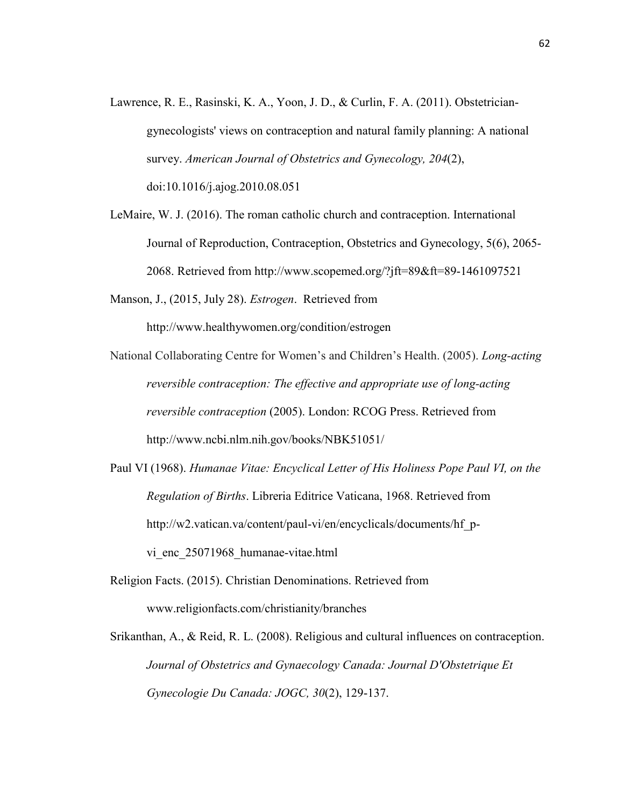- Lawrence, R. E., Rasinski, K. A., Yoon, J. D., & Curlin, F. A. (2011). Obstetriciangynecologists' views on contraception and natural family planning: A national survey. *American Journal of Obstetrics and Gynecology, 204*(2), doi:10.1016/j.ajog.2010.08.051
- LeMaire, W. J. (2016). The roman catholic church and contraception. International Journal of Reproduction, Contraception, Obstetrics and Gynecology, 5(6), 2065- 2068. Retrieved from http://www.scopemed.org/?jft=89&ft=89-1461097521

Manson, J., (2015, July 28). *Estrogen*. Retrieved fro[m](http://www.healthywomen.org/condition/estrogen)

<http://www.healthywomen.org/condition/estrogen>

- National Collaborating Centre for Women's and Children's Health. (2005). *Long-acting reversible contraception: The effective and appropriate use of long-acting reversible contraception* (2005). London: RCOG Press. Retrieved from <http://www.ncbi.nlm.nih.gov/books/NBK51051/>
- Paul VI (1968). *Humanae Vitae: Encyclical Letter of His Holiness Pope Paul VI, on the Regulation of Births*. Libreria Editrice Vaticana, 1968. Retrieved fro[m](http://w2.vatican.va/content/paul-vi/en/encyclicals/documents/hf_p-vi_enc_25071968_humanae-vitae.html) [http://w2.vatican.va/content/paul-vi/en/encyclicals/documents/hf\\_p](http://w2.vatican.va/content/paul-vi/en/encyclicals/documents/hf_p-vi_enc_25071968_humanae-vitae.html)vi enc 25071968 humanae-vitae.html
- Religion Facts. (2015). Christian Denominations. Retrieved fro[m](http://www.religionfacts.com/christianity/branches) [www.religionfacts.com/christianity/branches](http://www.religionfacts.com/christianity/branches)
- Srikanthan, A., & Reid, R. L. (2008). Religious and cultural influences on contraception. *Journal of Obstetrics and Gynaecology Canada: Journal D'Obstetrique Et Gynecologie Du Canada: JOGC, 30*(2), 129-137.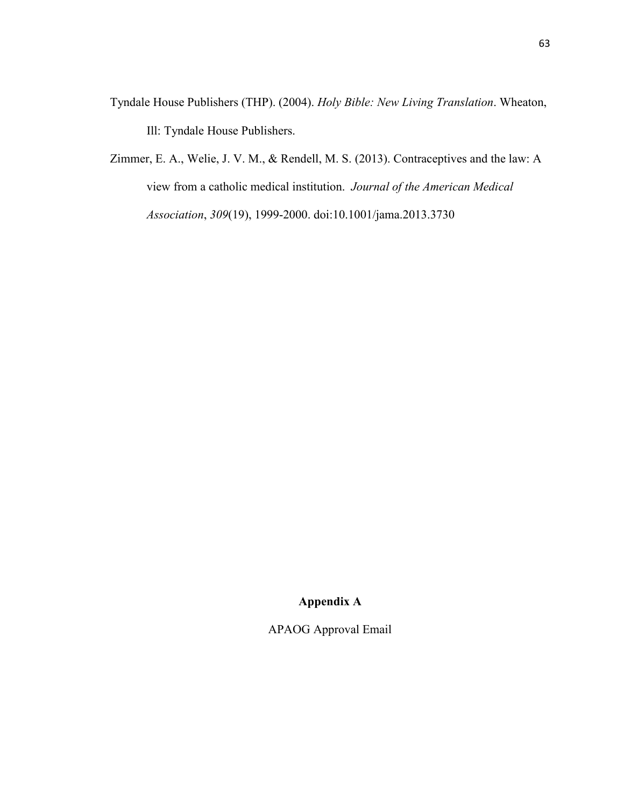- Tyndale House Publishers (THP). (2004). *Holy Bible: New Living Translation*. Wheaton, Ill: Tyndale House Publishers.
- Zimmer, E. A., Welie, J. V. M., & Rendell, M. S. (2013). Contraceptives and the law: A view from a catholic medical institution. *Journal of the American Medical Association*, *309*(19), 1999-2000. doi:10.1001/jama.2013.3730

# **Appendix A**

APAOG Approval Email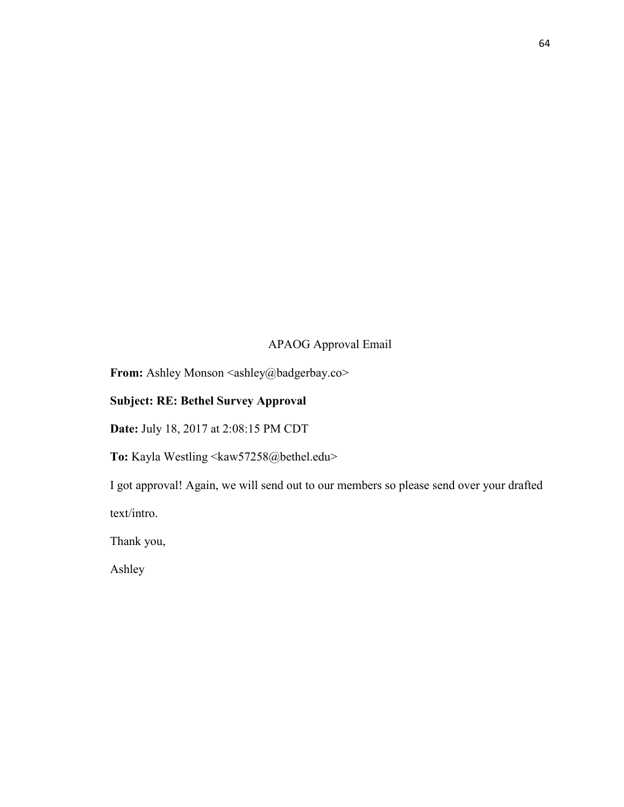# APAOG Approval Email

From: Ashley Monson <ashley@badgerbay.co>

## **Subject: RE: Bethel Survey Approval**

**Date:** July 18, 2017 at 2:08:15 PM CDT

**To:** Kayla Westling <kaw57258@bethel.edu>

I got approval! Again, we will send out to our members so please send over your drafted

text/intro.

Thank you,

Ashley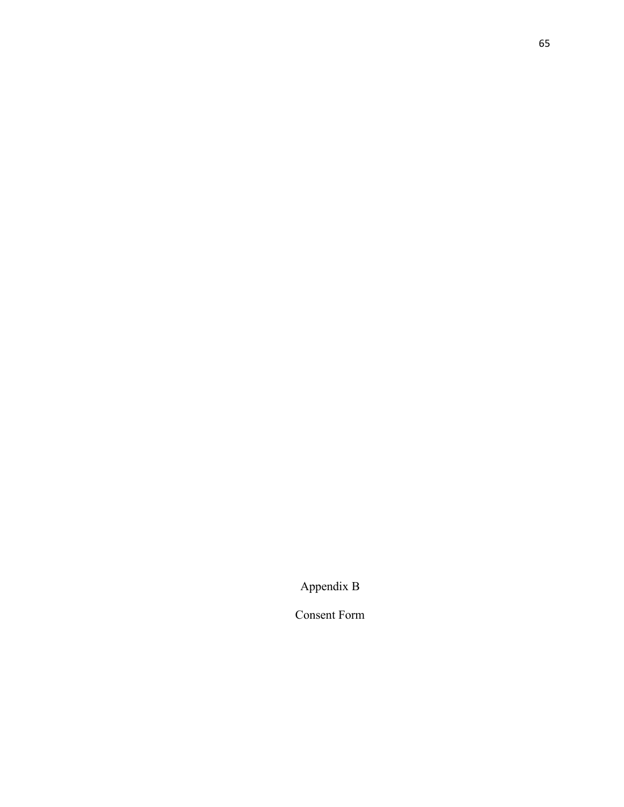Appendix B

Consent Form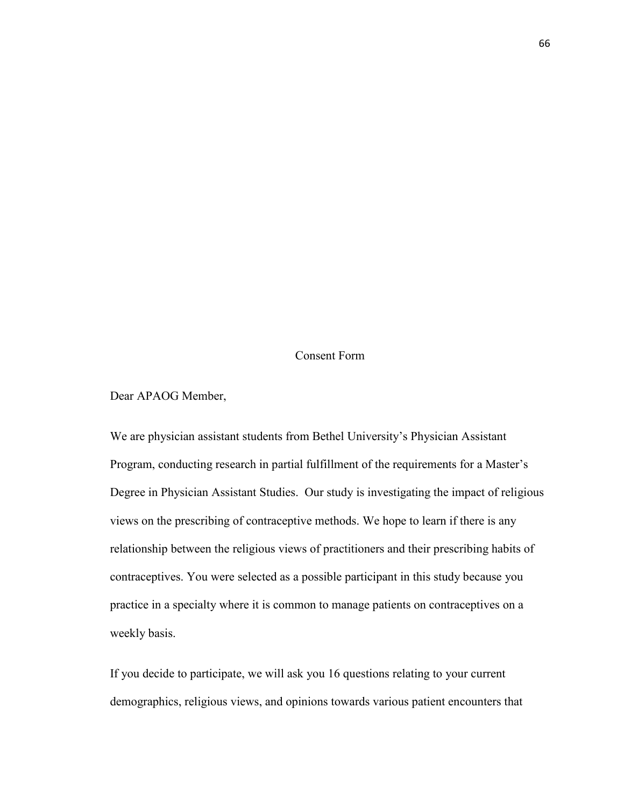## Consent Form

Dear APAOG Member,

We are physician assistant students from Bethel University's Physician Assistant Program, conducting research in partial fulfillment of the requirements for a Master's Degree in Physician Assistant Studies. Our study is investigating the impact of religious views on the prescribing of contraceptive methods. We hope to learn if there is any relationship between the religious views of practitioners and their prescribing habits of contraceptives. You were selected as a possible participant in this study because you practice in a specialty where it is common to manage patients on contraceptives on a weekly basis.

If you decide to participate, we will ask you 16 questions relating to your current demographics, religious views, and opinions towards various patient encounters that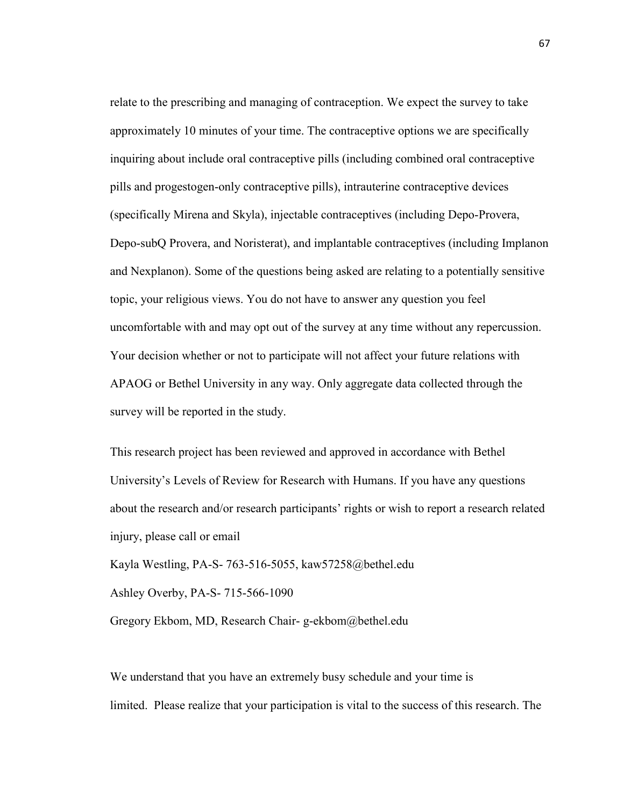relate to the prescribing and managing of contraception. We expect the survey to take approximately 10 minutes of your time. The contraceptive options we are specifically inquiring about include oral contraceptive pills (including combined oral contraceptive pills and progestogen-only contraceptive pills), intrauterine contraceptive devices (specifically Mirena and Skyla), injectable contraceptives (including Depo-Provera, Depo-subQ Provera, and Noristerat), and implantable contraceptives (including Implanon and Nexplanon). Some of the questions being asked are relating to a potentially sensitive topic, your religious views. You do not have to answer any question you feel uncomfortable with and may opt out of the survey at any time without any repercussion. Your decision whether or not to participate will not affect your future relations with APAOG or Bethel University in any way. Only aggregate data collected through the survey will be reported in the study.

This research project has been reviewed and approved in accordance with Bethel University's Levels of Review for Research with Humans. If you have any questions about the research and/or research participants' rights or wish to report a research related injury, please call or email

Kayla Westling, PA-S- 763-516-5055, kaw57258@bethel.edu

Ashley Overby, PA-S- 715-566-1090

Gregory Ekbom, MD, Research Chair- g-ekbom@bethel.edu

We understand that you have an extremely busy schedule and your time is limited. Please realize that your participation is vital to the success of this research. The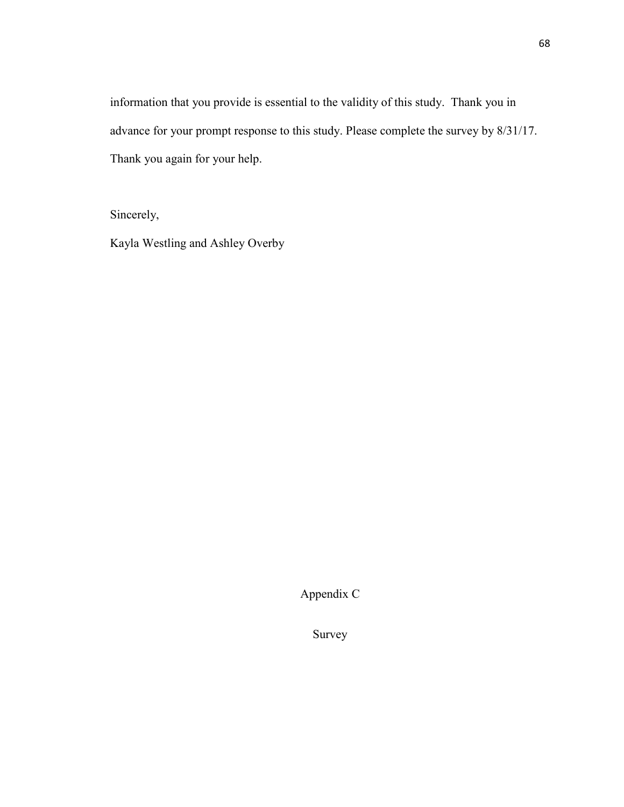information that you provide is essential to the validity of this study. Thank you in advance for your prompt response to this study. Please complete the survey by 8/31/17. Thank you again for your help.

Sincerely,

Kayla Westling and Ashley Overby

Appendix C

Survey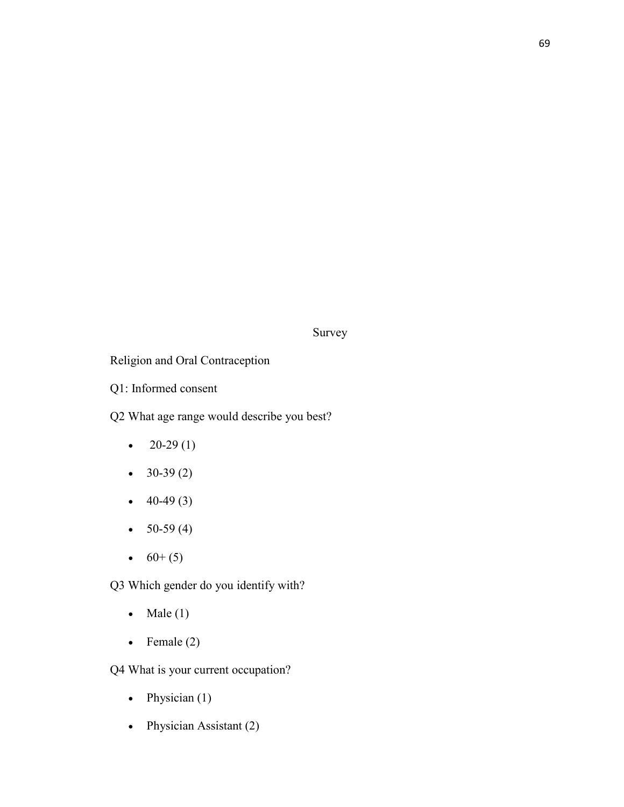Survey

Religion and Oral Contraception

Q1: Informed consent

Q2 What age range would describe you best?

- $20-29(1)$
- $30-39(2)$
- $\bullet$  40-49 (3)
- $50-59(4)$
- $60+(5)$

Q3 Which gender do you identify with?

- Male  $(1)$
- Female  $(2)$

Q4 What is your current occupation?

- Physician  $(1)$
- Physician Assistant (2)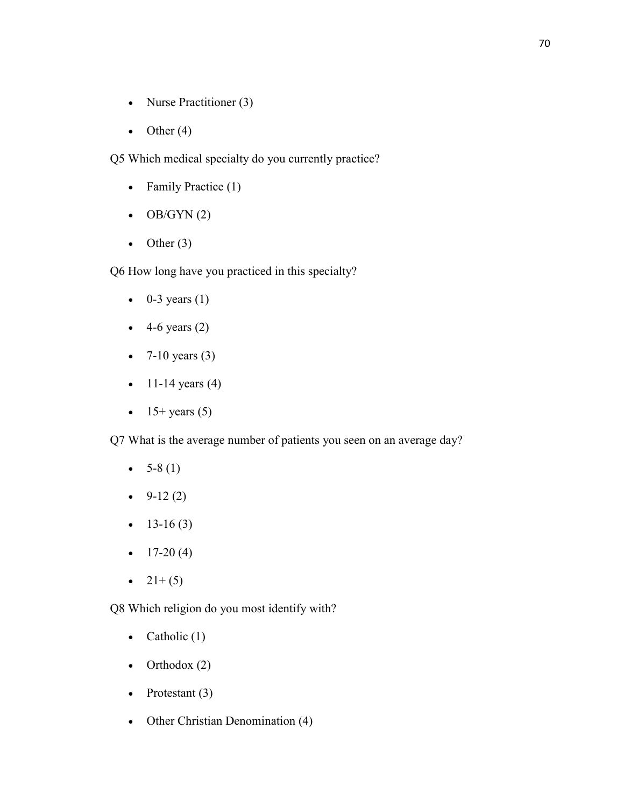- Nurse Practitioner (3)
- Other  $(4)$

Q5 Which medical specialty do you currently practice?

- Family Practice (1)
- $\bullet$  OB/GYN(2)
- Other  $(3)$

Q6 How long have you practiced in this specialty?

- $\bullet$  0-3 years (1)
- $\bullet$  4-6 years (2)
- 7-10 years  $(3)$
- $11-14$  years (4)
- $15+$  years (5)

Q7 What is the average number of patients you seen on an average day?

- $5-8(1)$
- $-9-12(2)$
- $13-16(3)$
- $\bullet$  17-20(4)
- $21+(5)$

Q8 Which religion do you most identify with?

- Catholic  $(1)$
- Orthodox  $(2)$
- Protestant  $(3)$
- Other Christian Denomination (4)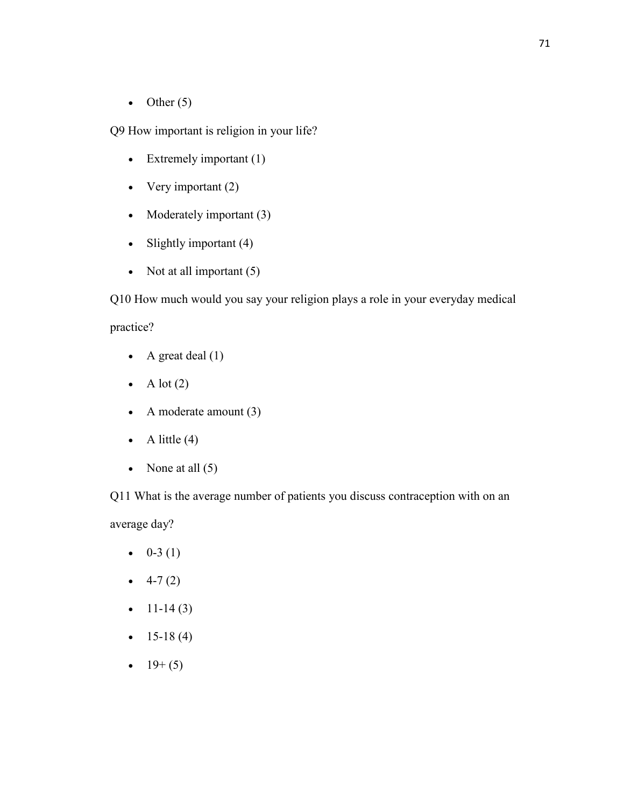• Other  $(5)$ 

Q9 How important is religion in your life?

- Extremely important (1)
- Very important  $(2)$
- Moderately important (3)
- Slightly important (4)
- Not at all important  $(5)$

Q10 How much would you say your religion plays a role in your everyday medical

## practice?

- A great deal  $(1)$
- A lot  $(2)$
- A moderate amount  $(3)$
- A little  $(4)$
- None at all  $(5)$

Q11 What is the average number of patients you discuss contraception with on an average day?

- $\bullet$  0-3 (1)
- $\bullet$  4-7 (2)
- $11-14(3)$
- $15-18(4)$
- $19+(5)$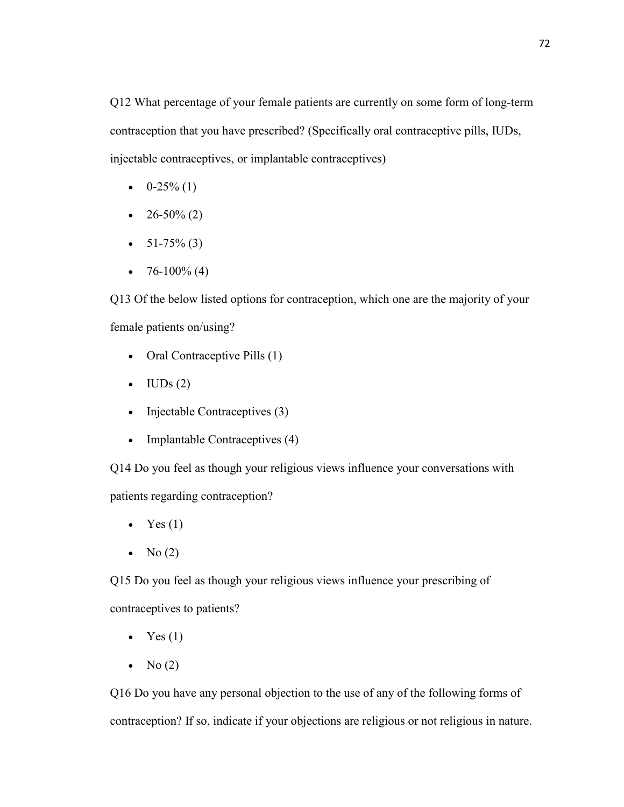Q12 What percentage of your female patients are currently on some form of long-term contraception that you have prescribed? (Specifically oral contraceptive pills, IUDs, injectable contraceptives, or implantable contraceptives)

- $\bullet$  0-25% (1)
- $26-50\%$  (2)
- $51-75\%$  (3)
- 76-100% (4)

Q13 Of the below listed options for contraception, which one are the majority of your female patients on/using?

- Oral Contraceptive Pills (1)
- $\bullet$  IUDs (2)
- Injectable Contraceptives (3)
- Implantable Contraceptives (4)

Q14 Do you feel as though your religious views influence your conversations with patients regarding contraception?

- Yes  $(1)$
- No  $(2)$

Q15 Do you feel as though your religious views influence your prescribing of contraceptives to patients?

- Yes  $(1)$
- No  $(2)$

Q16 Do you have any personal objection to the use of any of the following forms of contraception? If so, indicate if your objections are religious or not religious in nature.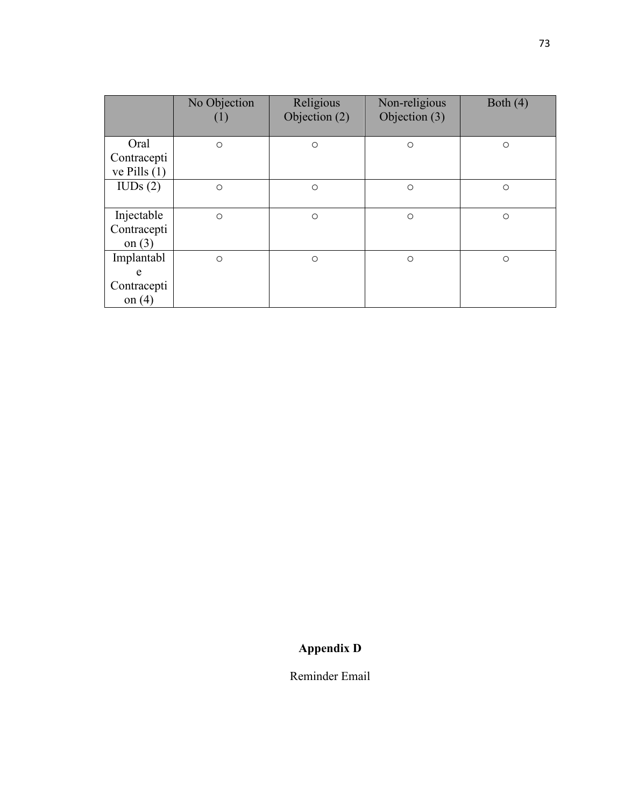|                                            | No Objection | Religious<br>Objection (2) | Non-religious<br>Objection (3) | Both $(4)$ |
|--------------------------------------------|--------------|----------------------------|--------------------------------|------------|
| Oral                                       | $\circ$      | $\circ$                    | $\circ$                        | $\circ$    |
| Contracepti<br>ve Pills $(1)$              |              |                            |                                |            |
| IUDs(2)                                    | $\circ$      | $\circ$                    | $\circ$                        | $\circ$    |
| Injectable<br>Contracepti<br>on $(3)$      | $\circ$      | $\circ$                    | $\circ$                        | $\circ$    |
| Implantabl<br>e<br>Contracepti<br>on $(4)$ | $\circ$      | $\circ$                    | $\circ$                        | $\circ$    |

## **Appendix D**

Reminder Email